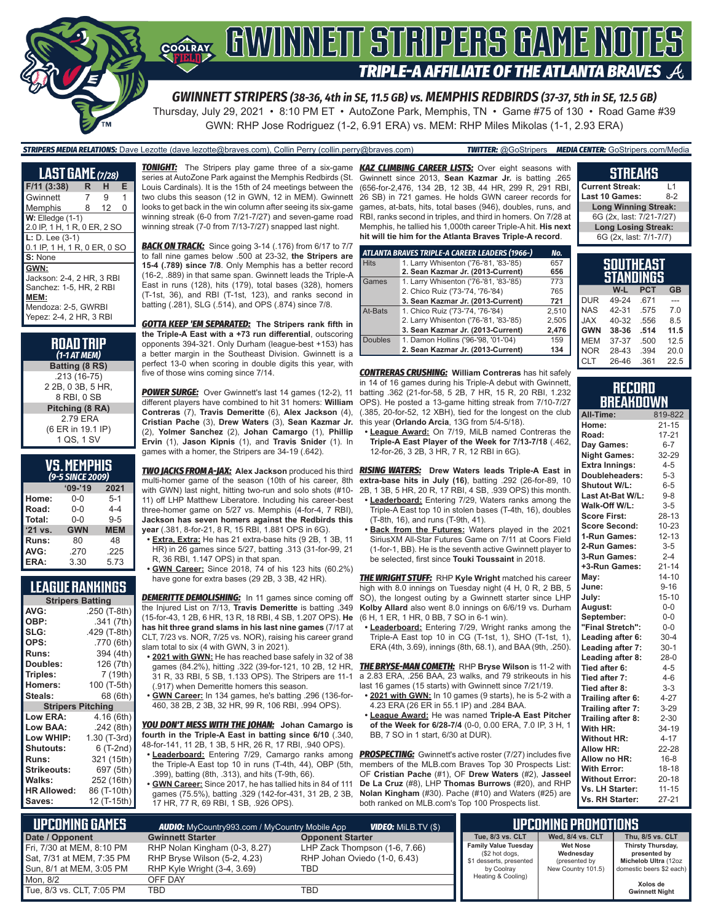

## GWINNEIT STRIPERS GAME NOTES **TRIPLE-A AFFILIATE OF THE ATLANTA BRAVES**

*GWINNETT STRIPERS (38-36, 4th in SE, 11.5 GB) vs. MEMPHIS REDBIRDS (37-37, 5th in SE, 12.5 GB)* Thursday, July 29, 2021 • 8:10 PM ET • AutoZone Park, Memphis, TN • Game #75 of 130 • Road Game #39

GWN: RHP Jose Rodriguez (1-2, 6.91 ERA) vs. MEM: RHP Miles Mikolas (1-1, 2.93 ERA)

| <b>TRIPERS MEDIA RELATIONS:</b> Dave Lezotte (dave.lezotte@braves.com). Collin Perry (collin.perry@braves.com)                          | <b>TWITTER:</b> @GoStripers <b>MEDIA CENTER:</b> GoStripers.com/Media |
|-----------------------------------------------------------------------------------------------------------------------------------------|-----------------------------------------------------------------------|
| <b>TOMICUT.</b> The Chippen play name three of a siv name, <b><i>UAT CLIMBING CADEED LICTC</i></b> , $Q_{\text{max}}$ with $\mathbf{r}$ |                                                                       |

| <b>LAST GAME (7/28)</b>                                                                                        |   |    |   |  |  |
|----------------------------------------------------------------------------------------------------------------|---|----|---|--|--|
| $F/11$ (3:38)                                                                                                  | R | н  | Е |  |  |
| Gwinnett                                                                                                       | 7 | 9  | 1 |  |  |
| Memphis                                                                                                        | 8 | 12 | O |  |  |
| $W:$ Elledge $(1-1)$<br>2.0 IP, 1 H, 1 R, 0 ER, 2 SO                                                           |   |    |   |  |  |
| $L: D. Lee (3-1)$<br>0.1 IP, 1 H, 1 R, 0 ER, 0 SO                                                              |   |    |   |  |  |
| S: None<br>GWN:                                                                                                |   |    |   |  |  |
| Jackson: 2-4, 2 HR, 3 RBI<br>Sanchez: 1-5, HR, 2 RBI<br>MEM:<br>Mendoza: 2-5, GWRBI<br>Yepez: 2-4, 2 HR, 3 RBI |   |    |   |  |  |

#### **ROAD TRIP**  *(1-1 AT MEM)* **Batting (8 RS)** .213 (16-75) 2 2B, 0 3B, 5 HR, 8 RBI, 0 SB **Pitching (8 RA)**

 2.79 ERA (6 ER in 19.1 IP) 1 QS, 1 SV

| <b>VS. MEMPHIS</b>                |  |  |
|-----------------------------------|--|--|
| $\ell$ <sub>D-E</sub> CINCE 2000) |  |  |

| (9-5 SINCE 2009)  |            |            |  |  |
|-------------------|------------|------------|--|--|
| $09 - 19$<br>2021 |            |            |  |  |
| Home:             | 0-0        | $5 - 1$    |  |  |
| Road:             | $0 - 0$    | $4 - 4$    |  |  |
| Total:            | $0 - 0$    | $9 - 5$    |  |  |
| '21 vs.           | <b>GWN</b> | <b>MEM</b> |  |  |
| Runs:             | 80         | 48         |  |  |
| AVG:              | .270       | .225       |  |  |
| ERA:              | 3.30       | 5.73       |  |  |

#### **LEAGUE RANKINGS**

| <b>Stripers Batting</b>  |              |  |
|--------------------------|--------------|--|
| AVG:                     | .250 (T-8th) |  |
| OBP:                     | .341 (7th)   |  |
| SLG:                     | .429 (T-8th) |  |
| OPS:                     | .770 (6th)   |  |
| <b>Runs:</b>             | 394 (4th)    |  |
| Doubles:                 | 126 (7th)    |  |
| Triples:                 | 7 (19th)     |  |
| <b>Homers:</b>           | 100 (T-5th)  |  |
| Steals:                  | 68 (6th)     |  |
| <b>Stripers Pitching</b> |              |  |
| <b>Low ERA:</b>          | 4.16 (6th)   |  |
| Low BAA:                 | .242(8th)    |  |
| Low WHIP:                | 1.30 (T-3rd) |  |
| <b>Shutouts:</b>         | 6 (T-2nd)    |  |
| Runs:                    | 321 (15th)   |  |
| <b>Strikeouts:</b>       | 697 (5th)    |  |
| Walks:                   | 252 (16th)   |  |
| <b>HR Allowed:</b>       | 86 (T-10th)  |  |
| Saves:                   | 12 (T-15th)  |  |

*TONIGHT:* The Stripers play game three of a six-game *KAZ CLIMBING CAREER LISTS:* Over eight seasons with series at AutoZone Park against the Memphis Redbirds (St. Louis Cardinals). It is the 15th of 24 meetings between the two clubs this season (12 in GWN, 12 in MEM). Gwinnett looks to get back in the win column after seeing its six-game winning streak (6-0 from 7/21-7/27) and seven-game road winning streak (7-0 from 7/13-7/27) snapped last night.

**BACK ON TRACK:** Since going 3-14 (.176) from 6/17 to 7/7 to fall nine games below .500 at 23-32, **the Stripers are 15-4 (.789) since 7/8**. Only Memphis has a better record (16-2, .889) in that same span. Gwinnett leads the Triple-A East in runs (128), hits (179), total bases (328), homers (T-1st, 36), and RBI (T-1st, 123), and ranks second in batting (.281), SLG (.514), and OPS (.874) since 7/8.

*GOTTA KEEP 'EM SEPARATED:* **The Stripers rank fifth in the Triple-A East with a +73 run differential**, outscoring opponents 394-321. Only Durham (league-best +153) has a better margin in the Southeast Division. Gwinnett is a perfect 13-0 when scoring in double digits this year, with five of those wins coming since 7/14.

**POWER SURGE:** Over Gwinnett's last 14 games (12-2), 11 different players have combined to hit 31 homers: **William Contreras** (7), **Travis Demeritte** (6), **Alex Jackson** (4), **Cristian Pache** (3), **Drew Waters** (3), **Sean Kazmar Jr.** (2), **Yolmer Sanchez** (2), **Johan Camargo** (1), **Phillip Ervin** (1), **Jason Kipnis** (1), and **Travis Snider** (1). In games with a homer, the Stripers are 34-19 (.642).

multi-homer game of the season (10th of his career, 8th with GWN) last night, hitting two-run and solo shots (#10- 11) off LHP Matthew Liberatore. Including his career-best three-homer game on 5/27 vs. Memphis (4-for-4, 7 RBI), **Jackson has seven homers against the Redbirds this year** (.381, 8-for-21, 8 R, 15 RBI, 1.881 OPS in 6G).

- **• Extra, Extra:** He has 21 extra-base hits (9 2B, 1 3B, 11 HR) in 26 games since 5/27, batting .313 (31-for-99, 21 R, 36 RBI, 1.147 OPS) in that span.
- **• GWN Career:** Since 2018, 74 of his 123 hits (60.2%) have gone for extra bases (29 2B, 3 3B, 42 HR).

**DEMERITTE DEMOLISHING:** In 11 games since coming off the Injured List on 7/13, **Travis Demeritte** is batting .349 (15-for-43, 1 2B, 6 HR, 13 R, 18 RBI, 4 SB, 1.207 OPS). **He has hit three grand slams in his last nine games** (7/17 at CLT, 7/23 vs. NOR, 7/25 vs. NOR), raising his career grand slam total to six (4 with GWN, 3 in 2021).

- **• 2021 with GWN:** He has reached base safely in 32 of 38 games (84.2%), hitting .322 (39-for-121, 10 2B, 12 HR, 31 R, 33 RBI, 5 SB, 1.133 OPS). The Stripers are 11-1 (.917) when Demeritte homers this season.
- **• GWN Career:** In 134 games, he's batting .296 (136-for-460, 38 2B, 2 3B, 32 HR, 99 R, 106 RBI, .994 OPS).

*YOU DON'T MESS WITH THE JOHAN:* **Johan Camargo is fourth in the Triple-A East in batting since 6/10** (.340, 48-for-141, 11 2B, 1 3B, 5 HR, 26 R, 17 RBI, .940 OPS).

- **• Leaderboard:** Entering 7/29, Camargo ranks among the Triple-A East top 10 in runs (T-4th, 44), OBP (5th, .399), batting (8th, .313), and hits (T-9th, 66).
- **• GWN Career:** Since 2017, he has tallied hits in 84 of 111 games (75.5%), batting .329 (142-for-431, 31 2B, 2 3B, 17 HR, 77 R, 69 RBI, 1 SB, .926 OPS).

Gwinnett since 2013, **Sean Kazmar Jr.** is batting .265 (656-for-2,476, 134 2B, 12 3B, 44 HR, 299 R, 291 RBI, 26 SB) in 721 games. He holds GWN career records for games, at-bats, hits, total bases (946), doubles, runs, and RBI, ranks second in triples, and third in homers. On 7/28 at Memphis, he tallied his 1,000th career Triple-A hit. **His next hit will tie him for the Atlanta Braves Triple-A record**.

|             | ATLANTA BRAVES TRIPLE-A CAREER LEADERS (1966-) | No.   |
|-------------|------------------------------------------------|-------|
| <b>Hits</b> | 1. Larry Whisenton ('76-'81, '83-'85)          | 657   |
|             | 2. Sean Kazmar Jr. (2013-Current)              | 656   |
| Games       | 1. Larry Whisenton ('76-'81, '83-'85)          | 773   |
|             | 2. Chico Ruiz ('73-'74, '76-'84)               | 765   |
|             | 3. Sean Kazmar Jr. (2013-Current)              | 721   |
| At-Bats     | 1. Chico Ruiz ('73-'74, '76-'84)               | 2.510 |
|             | 2. Larry Whisenton ('76-'81, '83-'85)          | 2,505 |
|             | 3. Sean Kazmar Jr. (2013-Current)              | 2,476 |
| Doubles     | 1. Damon Hollins ('96-'98, '01-'04)            | 159   |
|             | 2. Sean Kazmar Jr. (2013-Current)              | 134   |

*CONTRERAS CRUSHING:* **William Contreras** has hit safely in 14 of 16 games during his Triple-A debut with Gwinnett, batting .362 (21-for-58, 5 2B, 7 HR, 15 R, 20 RBI, 1.232 OPS). He posted a 13-game hitting streak from 7/10-7/27 (.385, 20-for-52, 12 XBH), tied for the longest on the club this year (**Orlando Arcia**, 13G from 5/4-5/18).

**• League Award:** On 7/19, MiLB named Contreras the **Triple-A East Player of the Week for 7/13-7/18** (.462, 12-for-26, 3 2B, 3 HR, 7 R, 12 RBI in 6G).

*TWO JACKS FROM A-JAX:* **Alex Jackson** produced his third *RISING WATERS:* **Drew Waters leads Triple-A East in extra-base hits in July (16)**, batting .292 (26-for-89, 10 2B, 1 3B, 5 HR, 20 R, 17 RBI, 4 SB, .939 OPS) this month.

- **• Leaderboard:** Entering 7/29, Waters ranks among the Triple-A East top 10 in stolen bases (T-4th, 16), doubles (T-8th, 16), and runs (T-9th, 41).
- **• Back from the Futures:** Waters played in the 2021 SiriusXM All-Star Futures Game on 7/11 at Coors Field (1-for-1, BB). He is the seventh active Gwinnett player to be selected, first since **Touki Toussaint** in 2018.

*THE WRIGHT STUFF:* RHP **Kyle Wright** matched his career high with 8.0 innings on Tuesday night (4 H, 0 R, 2 BB, 5 SO), the longest outing by a Gwinnett starter since LHP **Kolby Allard** also went 8.0 innings on 6/6/19 vs. Durham (6 H, 1 ER, 1 HR, 0 BB, 7 SO in 6-1 win).

**• Leaderboard:** Entering 7/29, Wright ranks among the Triple-A East top 10 in CG (T-1st, 1), SHO (T-1st, 1), ERA (4th, 3.69), innings (8th, 68.1), and BAA (9th, .250).

*THE BRYSE-MAN COMETH:* RHP **Bryse Wilson** is 11-2 with a 2.83 ERA, .256 BAA, 23 walks, and 79 strikeouts in his last 16 games (15 starts) with Gwinnett since 7/21/19.

- **• 2021 with GWN:** In 10 games (9 starts), he is 5-2 with a 4.23 ERA (26 ER in 55.1 IP) and .284 BAA.
- **• League Award:** He was named **Triple-A East Pitcher of the Week for 6/28-7/4** (0-0, 0.00 ERA, 7.0 IP, 3 H, 1 BB, 7 SO in 1 start, 6/30 at DUR).

**PROSPECTING:** Gwinnett's active roster (7/27) includes five members of the MLB.com Braves Top 30 Prospects List: OF **Cristian Pache** (#1), OF **Drew Waters** (#2), **Jasseel De La Cruz** (#8), LHP **Thomas Burrows** (#20), and RHP **Nolan Kingham** (#30). Pache (#10) and Waters (#25) are both ranked on MLB.com's Top 100 Prospects list.

| 6G (2x, last: 7/21-7/27)      |           |
|-------------------------------|-----------|
| <b>Long Losing Streak:</b>    |           |
| 6G (2x, last: 7/1-7/7)        |           |
|                               |           |
| SOUTHEAST<br><b>STANDINGS</b> |           |
| W-L PCT                       | <b>GB</b> |
|                               |           |

**STREAKS Current Streak:** L1 **Last 10 Games:** 

**Long Winning Streak:**

|            | W-L   | <b>PCT</b> | <b>GB</b> |  |
|------------|-------|------------|-----------|--|
| <b>DUR</b> | 49-24 | .671       |           |  |
| <b>NAS</b> | 42-31 | .575       | 7.0       |  |
| <b>JAX</b> | 40-32 | .556       | 8.5       |  |
| <b>GWN</b> | 38-36 | .514       | 11.5      |  |
| <b>MEM</b> | 37-37 | .500       | 12.5      |  |
| <b>NOR</b> | 28-43 | .394       | 20.0      |  |
| CLT        | 26-46 | .361       | 22.5      |  |

#### **RECORD BREAKDOWN**

| All-Time:             | 819-822   |
|-----------------------|-----------|
| Home:                 | $21 - 15$ |
| Road:                 | $17 - 21$ |
| Day Games:            | $6 - 7$   |
| <b>Night Games:</b>   | 32-29     |
| <b>Extra Innings:</b> | $4 - 5$   |
| Doubleheaders:        | $5 - 3$   |
| Shutout W/L:          | $6-5$     |
| Last At-Bat W/L:      | $9 - 8$   |
| Walk-Off W/L:         | $3 - 5$   |
| <b>Score First:</b>   | 28-13     |
| <b>Score Second:</b>  | 10-23     |
| 1-Run Games:          | $12 - 13$ |
| 2-Run Games:          | $3-5$     |
| 3-Run Games:          | $2 - 4$   |
| +3-Run Games:         | $21 - 14$ |
| May:                  | $14 - 10$ |
| June:                 | $9 - 16$  |
| July:                 | $15 - 10$ |
| August:               | $0-0$     |
| September:            | $0-0$     |
| "Final Stretch":      | $0-0$     |
| Leading after 6:      | $30 - 4$  |
| Leading after 7:      | $30-1$    |
| Leading after 8:      | $28-0$    |
| Tied after 6:         | $4 - 5$   |
| Tied after 7:         | $4 - 6$   |
| Tied after 8:         | $3-3$     |
| Trailing after 6:     | $4 - 27$  |
| Trailing after 7:     | $3 - 29$  |
| Trailing after 8:     | $2 - 30$  |
| With HR:              | 34-19     |
| <b>Without HR:</b>    | $4 - 17$  |
| <b>Allow HR:</b>      | 22-28     |
| Allow no HR:          | $16 - 8$  |
| <b>With Error:</b>    | $18 - 18$ |
| <b>Without Error:</b> | $20 - 18$ |
| Vs. LH Starter:       | $11 - 15$ |
| Vs. RH Starter:       | $27 - 21$ |

| <b>UPCOMING GAMES</b><br><b>VIDEO:</b> Milb.TV (\$)<br><b>AUDIO:</b> MyCountry993.com / MyCountry Mobile App |                                                                                              |                                                                      | UPCOMING PROMOTIONS                                                                    |                                                                     |                                                                                       |
|--------------------------------------------------------------------------------------------------------------|----------------------------------------------------------------------------------------------|----------------------------------------------------------------------|----------------------------------------------------------------------------------------|---------------------------------------------------------------------|---------------------------------------------------------------------------------------|
| Date / Opponent                                                                                              | <b>Gwinnett Starter</b>                                                                      | <b>Opponent Starter</b>                                              | Tue, 8/3 vs. CLT                                                                       | Wed, 8/4 vs. CLT                                                    | Thu, 8/5 vs. CLT                                                                      |
| l Fri. 7/30 at MEM. 8:10 PM<br>Sat, 7/31 at MEM, 7:35 PM<br>Sun, 8/1 at MEM, 3:05 PM                         | RHP Nolan Kingham (0-3, 8.27)<br>RHP Bryse Wilson (5-2, 4.23)<br>RHP Kyle Wright (3-4, 3.69) | LHP Zack Thompson (1-6, 7.66)<br>RHP Johan Oviedo (1-0, 6.43)<br>TBD | <b>Family Value Tuesday</b><br>(\$2 hot dogs,<br>\$1 desserts, presented<br>by Coolray | <b>Wet Nose</b><br>Wednesday<br>(presented by<br>New Country 101.5) | Thirsty Thursday,<br>presented by<br>Michelob Ultra (12oz<br>domestic beers \$2 each) |
| Mon. 8/2                                                                                                     | OFF DAY                                                                                      |                                                                      | Heating & Cooling)                                                                     |                                                                     | Xolos de                                                                              |
| Tue, 8/3 vs. CLT, 7:05 PM                                                                                    | TBD                                                                                          | TBD                                                                  |                                                                                        |                                                                     | <b>Gwinnett Night</b>                                                                 |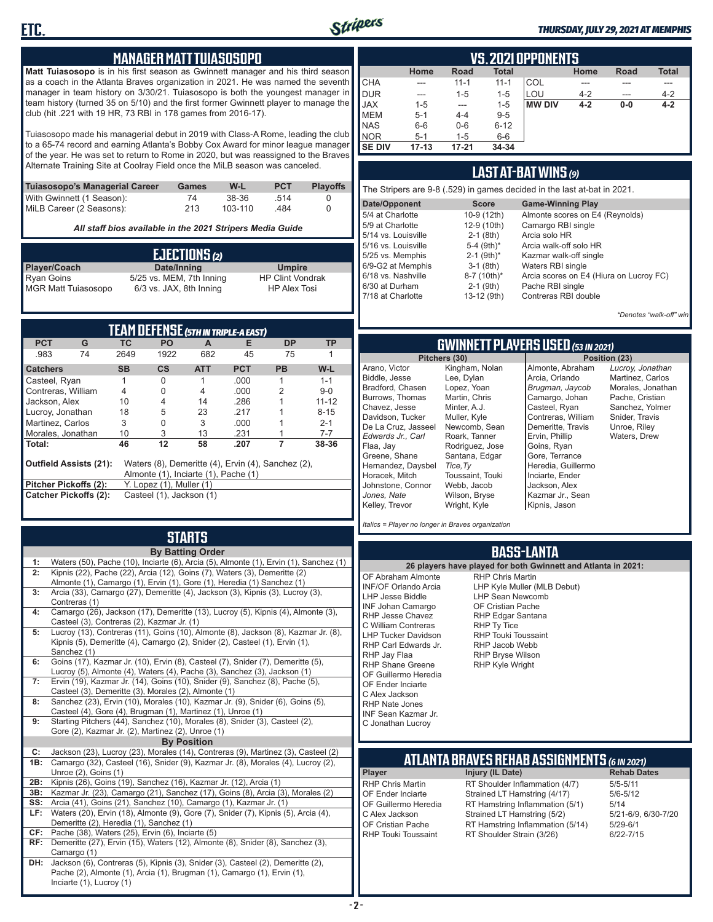

#### *THURSDAY, JULY 29, 2021 AT MEMPHIS*

#### **MANAGER MATT TUIASOSOPO**

**Matt Tuiasosopo** is in his first season as Gwinnett manager and his third season as a coach in the Atlanta Braves organization in 2021. He was named the seventh manager in team history on 3/30/21. Tuiasosopo is both the youngest manager in team history (turned 35 on 5/10) and the first former Gwinnett player to manage the club (hit .221 with 19 HR, 73 RBI in 178 games from 2016-17).

Tuiasosopo made his managerial debut in 2019 with Class-A Rome, leading the club to a 65-74 record and earning Atlanta's Bobby Cox Award for minor league manager of the year. He was set to return to Rome in 2020, but was reassigned to the Braves Alternate Training Site at Coolray Field once the MiLB season was canceled.

| Tuiasosopo's Managerial Career | Games | W-L     | <b>PCT</b> | <b>Plavoffs</b> |
|--------------------------------|-------|---------|------------|-----------------|
| With Gwinnett (1 Season):      | 74    | 38-36   | -514       |                 |
| MiLB Career (2 Seasons):       | 213   | 103-110 | 484        |                 |

*All staff bios available in the 2021 Stripers Media Guide*

| EJECTIONS(2)                                    |                          |                                                |  |  |
|-------------------------------------------------|--------------------------|------------------------------------------------|--|--|
| Player/Coach                                    | Date/Inning              | <b>Umpire</b>                                  |  |  |
| <b>Ryan Goins</b><br><b>MGR Matt Tuiasosopo</b> | 5/25 vs. MEM, 7th Inning | <b>HP Clint Vondrak</b><br><b>HP Alex Tosi</b> |  |  |
|                                                 | 6/3 vs. JAX, 8th Inning  |                                                |  |  |

| <b>TEAM DEFENSE (5TH IN TRIPLE-A EAST)</b> |                                                                                                                             |           |                          |            |            |           |           |  |  |  |  |  |
|--------------------------------------------|-----------------------------------------------------------------------------------------------------------------------------|-----------|--------------------------|------------|------------|-----------|-----------|--|--|--|--|--|
| <b>PCT</b>                                 | G                                                                                                                           | TC.       | <b>PO</b>                | A          | Е          | DP        | ТP        |  |  |  |  |  |
| .983                                       | 74                                                                                                                          | 2649      | 1922                     | 682        | 45         | 75        |           |  |  |  |  |  |
| <b>Catchers</b>                            |                                                                                                                             | <b>SB</b> | $\mathsf{cs}$            | <b>ATT</b> | <b>PCT</b> | <b>PB</b> | W-L       |  |  |  |  |  |
| Casteel, Ryan                              |                                                                                                                             |           | 0                        |            | .000       |           | $1 - 1$   |  |  |  |  |  |
| Contreras, William                         |                                                                                                                             | 4         | 0                        | 4          | .000       | 2         | $9-0$     |  |  |  |  |  |
| Jackson, Alex                              |                                                                                                                             | 10        | 4                        | 14         | .286       |           | $11 - 12$ |  |  |  |  |  |
| Lucroy, Jonathan                           |                                                                                                                             | 18        | 5                        | 23         | 217        |           | $8 - 15$  |  |  |  |  |  |
| Martinez. Carlos                           |                                                                                                                             | 3         | 0                        | 3          | .000       |           | $2 - 1$   |  |  |  |  |  |
| Morales, Jonathan                          |                                                                                                                             | 10        | 3                        | 13         | .231       |           | $7 - 7$   |  |  |  |  |  |
| Total:                                     |                                                                                                                             | 46        | 12                       | 58         | .207       |           | 38-36     |  |  |  |  |  |
|                                            | <b>Outfield Assists (21):</b><br>Waters (8), Demeritte (4), Ervin (4), Sanchez (2),<br>Almonte (1), Inciarte (1), Pache (1) |           |                          |            |            |           |           |  |  |  |  |  |
|                                            | Pitcher Pickoffs (2):<br>Y. Lopez (1), Muller (1)                                                                           |           |                          |            |            |           |           |  |  |  |  |  |
|                                            | <b>Catcher Pickoffs (2):</b>                                                                                                |           | Casteel (1), Jackson (1) |            |            |           |           |  |  |  |  |  |

### **STARTS**

|     | <b>By Batting Order</b>                                                                        |
|-----|------------------------------------------------------------------------------------------------|
| 1:  | Waters (50), Pache (10), Inciarte (6), Arcia (5), Almonte (1), Ervin (1), Sanchez (1)          |
| 2:  | Kipnis (22), Pache (22), Arcia (12), Goins (7), Waters (3), Demeritte (2)                      |
|     | Almonte (1), Camargo (1), Ervin (1), Gore (1), Heredia (1) Sanchez (1)                         |
| 3:  | Arcia (33), Camargo (27), Demeritte (4), Jackson (3), Kipnis (3), Lucroy (3),                  |
|     | Contreras (1)                                                                                  |
| 4:  | Camargo (26), Jackson (17), Demeritte (13), Lucroy (5), Kipnis (4), Almonte (3),               |
|     | Casteel (3), Contreras (2), Kazmar Jr. (1)                                                     |
| 5:  | Lucroy (13), Contreras (11), Goins (10), Almonte (8), Jackson (8), Kazmar Jr. (8),             |
|     | Kipnis (5), Demeritte (4), Camargo (2), Snider (2), Casteel (1), Ervin (1),                    |
| 6:  | Sanchez (1)<br>Goins (17), Kazmar Jr. (10), Ervin (8), Casteel (7), Snider (7), Demeritte (5), |
|     | Lucroy (5), Almonte (4), Waters (4), Pache (3), Sanchez (3), Jackson (1)                       |
| 7:  | Ervin (19), Kazmar Jr. (14), Goins (10), Snider (9), Sanchez (8), Pache (5),                   |
|     | Casteel (3), Demeritte (3), Morales (2), Almonte (1)                                           |
| 8:  | Sanchez (23), Ervin (10), Morales (10), Kazmar Jr. (9), Snider (6), Goins (5),                 |
|     | Casteel (4), Gore (4), Brugman (1), Martinez (1), Unroe (1)                                    |
| 9:  | Starting Pitchers (44), Sanchez (10), Morales (8), Snider (3), Casteel (2),                    |
|     | Gore (2), Kazmar Jr. (2), Martinez (2), Unroe (1)                                              |
|     | <b>By Position</b>                                                                             |
| C:  | Jackson (23), Lucroy (23), Morales (14), Contreras (9), Martinez (3), Casteel (2)              |
| 1B: | Camargo (32), Casteel (16), Snider (9), Kazmar Jr. (8), Morales (4), Lucroy (2),               |
|     | Unroe (2), Goins (1)                                                                           |
| 2B: | Kipnis (26), Goins (19), Sanchez (16), Kazmar Jr. (12), Arcia (1)                              |
| 3B: | Kazmar Jr. (23), Camargo (21), Sanchez (17), Goins (8), Arcia (3), Morales (2)                 |
| SS: | Arcia (41), Goins (21), Sanchez (10), Camargo (1), Kazmar Jr. (1)                              |
| LF: | Waters (20), Ervin (18), Almonte (9), Gore (7), Snider (7), Kipnis (5), Arcia (4),             |
|     | Demeritte (2), Heredia (1), Sanchez (1)                                                        |
| CF: | Pache (38), Waters (25), Ervin (6), Inciarte (5)                                               |
| RF: | Demeritte (27), Ervin (15), Waters (12), Almonte (8), Snider (8), Sanchez (3),                 |
|     | Camargo (1)                                                                                    |
| DH: | Jackson (6), Contreras (5), Kipnis (3), Snider (3), Casteel (2), Demeritte (2),                |
|     | Pache (2), Almonte (1), Arcia (1), Brugman (1), Camargo (1), Ervin (1),                        |
|     | Inciarte (1), Lucroy (1)                                                                       |

|               | VS.2021 OPPONENTS |           |              |               |         |             |              |  |  |  |  |  |  |
|---------------|-------------------|-----------|--------------|---------------|---------|-------------|--------------|--|--|--|--|--|--|
|               | Home              | Road      | <b>Total</b> |               | Home    | <b>Road</b> | <b>Total</b> |  |  |  |  |  |  |
| <b>CHA</b>    | ---               | $11 - 1$  | $11 - 1$     | COL           |         |             |              |  |  |  |  |  |  |
| DUR           | $---$             | $1 - 5$   | $1 - 5$      | LOU           | $4 - 2$ | ---         | $4 - 2$      |  |  |  |  |  |  |
| <b>JAX</b>    | $1 - 5$           | ---       | $1 - 5$      | <b>MW DIV</b> | $4 - 2$ | $0-0$       | $4 - 2$      |  |  |  |  |  |  |
| <b>IMEM</b>   | $5 - 1$           | $4 - 4$   | $9 - 5$      |               |         |             |              |  |  |  |  |  |  |
| <b>NAS</b>    | $6-6$             | $0-6$     | $6 - 12$     |               |         |             |              |  |  |  |  |  |  |
| <b>NOR</b>    | $5 - 1$           | $1 - 5$   | $6-6$        |               |         |             |              |  |  |  |  |  |  |
| <b>SE DIV</b> | $17 - 13$         | $17 - 21$ | 34-34        |               |         |             |              |  |  |  |  |  |  |

#### **LAST AT-BAT WINS** *(9)*

| The Stripers are 9-8 (.529) in games decided in the last at-bat in 2021. |                          |                                         |  |  |  |  |  |  |  |
|--------------------------------------------------------------------------|--------------------------|-----------------------------------------|--|--|--|--|--|--|--|
| Date/Opponent                                                            | <b>Score</b>             | <b>Game-Winning Play</b>                |  |  |  |  |  |  |  |
| 5/4 at Charlotte                                                         | 10-9 (12th)              | Almonte scores on E4 (Reynolds)         |  |  |  |  |  |  |  |
| 5/9 at Charlotte                                                         | 12-9 (10th)              | Camargo RBI single                      |  |  |  |  |  |  |  |
| 5/14 vs. Louisville                                                      | $2-1$ (8th)              | Arcia solo HR                           |  |  |  |  |  |  |  |
| 5/16 vs. Louisville                                                      | 5-4 $(9th)*$             | Arcia walk-off solo HR                  |  |  |  |  |  |  |  |
| 5/25 vs. Memphis                                                         | $2-1$ (9th) <sup>*</sup> | Kazmar walk-off single                  |  |  |  |  |  |  |  |
| 6/9-G2 at Memphis                                                        | $3-1$ (8th)              | Waters RBI single                       |  |  |  |  |  |  |  |
| 6/18 vs. Nashville                                                       | 8-7 (10th)*              | Arcia scores on E4 (Hiura on Lucroy FC) |  |  |  |  |  |  |  |
| 6/30 at Durham                                                           | $2-1$ (9th)              | Pache RBI single                        |  |  |  |  |  |  |  |
| 7/18 at Charlotte                                                        | 13-12 (9th)              | Contreras RBI double                    |  |  |  |  |  |  |  |
|                                                                          |                          |                                         |  |  |  |  |  |  |  |

*\*Denotes "walk-off" win*

*Lucroy, Jonathan* Martinez, Carlos Morales, Jonathan Pache, Cristian Sanchez, Yolmer Snider, Travis Unroe, Riley Waters, Drew

### **GWINNETT PLAYERS USED** *(53 IN 2021)*

|                     | Pitchers (30)    |                    | Position (23) |
|---------------------|------------------|--------------------|---------------|
| Arano, Victor       | Kingham, Nolan   | Almonte, Abraham   | Lucroy        |
| Biddle, Jesse       | Lee, Dylan       | Arcia, Orlando     | Martin        |
| Bradford. Chasen    | Lopez, Yoan      | Brugman, Jaycob    | Morale        |
| Burrows, Thomas     | Martin, Chris    | Camargo, Johan     | Pache         |
| Chavez, Jesse       | Minter, A.J.     | Casteel, Ryan      | Sanch         |
| Davidson, Tucker    | Muller, Kyle     | Contreras, William | Snider        |
| De La Cruz, Jasseel | Newcomb, Sean    | Demeritte, Travis  | Unroe         |
| Edwards Jr Carl     | Roark, Tanner    | Ervin, Phillip     | Water         |
| Flaa, Jav           | Rodriguez, Jose  | Goins, Ryan        |               |
| Greene, Shane       | Santana, Edgar   | Gore, Terrance     |               |
| Hernandez, Daysbel  | Tice, Ty         | Heredia, Guillermo |               |
| Horacek, Mitch      | Toussaint, Touki | Inciarte, Ender    |               |
| Johnstone, Connor   | Webb, Jacob      | Jackson, Alex      |               |
| Jones. Nate         | Wilson, Bryse    | Kazmar Jr., Sean   |               |
| Kelley, Trevor      | Wright, Kyle     | Kipnis, Jason      |               |

*Italics = Player no longer in Braves organization*

#### **BASS-LANTA**

**ATLANTA BRAVES REHAB ASSIGNMENTS** *(6 IN 2021)* **Player Injury (IL Date)** RHP Chris Martin RT Shoulder Inflammation (4/7) 5/5-5/11<br>CF Ender Inciarte Strained I T Hamstring (4/17) 5/6-5/12 OF Ender Inciarte Strained LT Hamstring (4/17) 5/6-5<br>OF Guillermo Heredia RT Hamstring Inflammation (5/1) 5/14 OF Guillermo Heredia RT Hamstring Inflammation (5/1) 5/14<br>C Alex Jackson Strained LT Hamstring (5/2) 5/21-6/9, 6/30-7/20 C Alex Jackson Strained LT Hamstring (5/2) 5/21-6/9,<br>OF Cristian Pache RT Hamstring Inflammation (5/14) 5/29-6/1 OF Cristian Pache RT Hamstring Inflammation (5/14)<br>RHP Touki Toussaint RT Shoulder Strain (3/26) RT Shoulder Strain (3/26) 6/22-7/15 **26 players have played for both Gwinnett and Atlanta in 2021:** OF Abraham Almonte INF/OF Orlando Arcia LHP Jesse Biddle INF Johan Camargo RHP Jesse Chavez C William Contreras LHP Tucker Davidson RHP Carl Edwards Jr. RHP Jay Flaa RHP Shane Greene OF Guillermo Heredia OF Ender Inciarte C Alex Jackson RHP Nate Jones INF Sean Kazmar Jr. C Jonathan Lucroy RHP Chris Martin LHP Kyle Muller (MLB Debut) LHP Sean Newcomb OF Cristian Pache RHP Edgar Santana RHP Ty Tice RHP Touki Toussaint RHP Jacob Webb RHP Bryse Wilson RHP Kyle Wright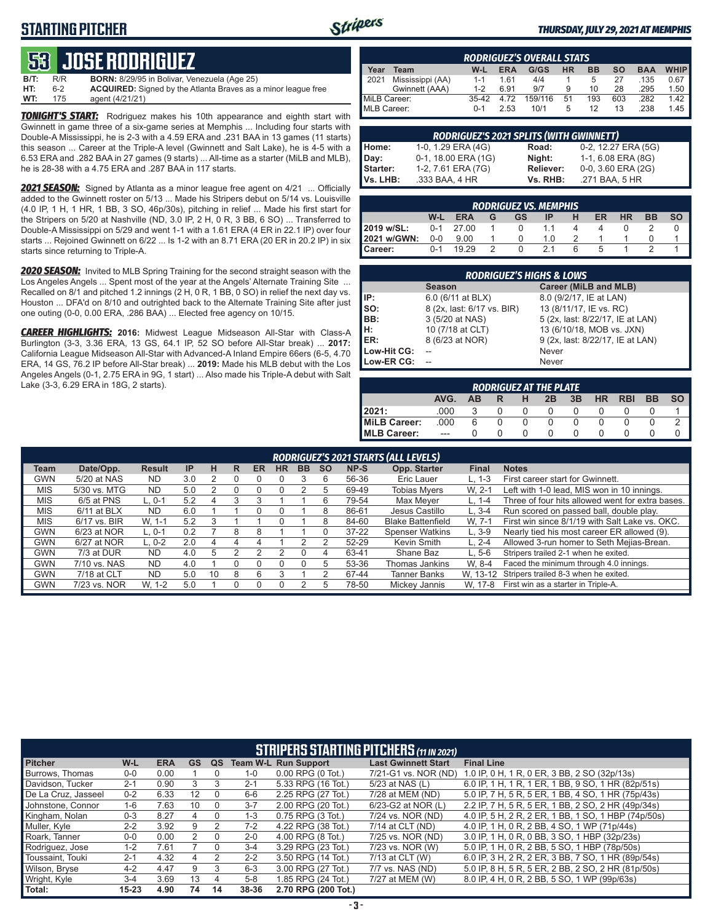### **STARTING PITCHER**



#### *THURSDAY, JULY 29, 2021 AT MEMPHIS*

### **53****JOSE RODRIGUEZ**

**B/T:** R/R **BORN:** 8/29/95 in Bolivar, Venezuela (Age 25) 6-2 **ACQUIRED:** Signed by the Atlanta Braves as a minor league free<br>175 agent (4/21/21) **WT:** 175 agent (4/21/21)

*TONIGHT'S START:* Rodriguez makes his 10th appearance and eighth start with Gwinnett in game three of a six-game series at Memphis ... Including four starts with Double-A Mississippi, he is 2-3 with a 4.59 ERA and .231 BAA in 13 games (11 starts) this season ... Career at the Triple-A level (Gwinnett and Salt Lake), he is 4-5 with a 6.53 ERA and .282 BAA in 27 games (9 starts) ... All-time as a starter (MiLB and MLB), he is 28-38 with a 4.75 ERA and .287 BAA in 117 starts.

*2021 SEASON:* Signed by Atlanta as a minor league free agent on 4/21 ... Officially added to the Gwinnett roster on 5/13 ... Made his Stripers debut on 5/14 vs. Louisville (4.0 IP, 1 H, 1 HR, 1 BB, 3 SO, 46p/30s), pitching in relief ... Made his first start for the Stripers on 5/20 at Nashville (ND, 3.0 IP, 2 H, 0 R, 3 BB, 6 SO) ... Transferred to Double-A Mississippi on 5/29 and went 1-1 with a 1.61 ERA (4 ER in 22.1 IP) over four starts ... Rejoined Gwinnett on 6/22 ... Is 1-2 with an 8.71 ERA (20 ER in 20.2 IP) in six starts since returning to Triple-A.

*2020 SEASON:* Invited to MLB Spring Training for the second straight season with the Los Angeles Angels ... Spent most of the year at the Angels' Alternate Training Site ... Recalled on 8/1 and pitched 1.2 innings (2 H, 0 R, 1 BB, 0 SO) in relief the next day vs. Houston ... DFA'd on 8/10 and outrighted back to the Alternate Training Site after just one outing (0-0, 0.00 ERA, .286 BAA) ... Elected free agency on 10/15.

*CAREER HIGHLIGHTS:* **2016:** Midwest League Midseason All-Star with Class-A Burlington (3-3, 3.36 ERA, 13 GS, 64.1 IP, 52 SO before All-Star break) ... **2017:** California League Midseason All-Star with Advanced-A Inland Empire 66ers (6-5, 4.70 ERA, 14 GS, 76.2 IP before All-Star break) ... **2019:** Made his MLB debut with the Los Angeles Angels (0-1, 2.75 ERA in 9G, 1 start) ... Also made his Triple-A debut with Salt Lake (3-3, 6.29 ERA in 18G, 2 starts).

|              | <b>RODRIGUEZ'S OVERALL STATS</b> |         |            |         |    |           |           |            |             |  |  |  |  |
|--------------|----------------------------------|---------|------------|---------|----|-----------|-----------|------------|-------------|--|--|--|--|
| Year         | Team                             | W-L     | <b>ERA</b> | G/GS    | HR | <b>BB</b> | <b>SO</b> | <b>BAA</b> | <b>WHIP</b> |  |  |  |  |
| 2021         | Mississippi (AA)                 | $1 - 1$ | 161        | 4/4     |    | 5         | 27        | .135       | 0.67        |  |  |  |  |
|              | Gwinnett (AAA)                   | $1 - 2$ | 6.91       | 9/7     | 9  | 10        | 28        | .295       | 1.50        |  |  |  |  |
| MiLB Career: |                                  | $35-42$ | 4 72       | 159/116 | 51 | 193       | 603       | .282       | 1.42        |  |  |  |  |
| MLB Career:  |                                  | $0 - 1$ | 2.53       | 10/1    | 5  | 12        | 13        | .238       | 1.45        |  |  |  |  |

| <b>RODRIGUEZ'S 2021 SPLITS (WITH GWINNETT)</b> |                     |           |                     |  |  |  |  |  |  |  |  |
|------------------------------------------------|---------------------|-----------|---------------------|--|--|--|--|--|--|--|--|
| Home:                                          | 1-0, 1.29 ERA (4G)  | Road:     | 0-2, 12.27 ERA (5G) |  |  |  |  |  |  |  |  |
| Day:                                           | 0-1, 18.00 ERA (1G) | Night:    | 1-1, 6.08 ERA (8G)  |  |  |  |  |  |  |  |  |
| Starter:                                       | 1-2, 7.61 ERA (7G)  | Reliever: | 0-0, 3.60 ERA (2G)  |  |  |  |  |  |  |  |  |
| Vs. LHB:                                       | .333 BAA, 4 HR      | Vs. RHB:  | .271 BAA, 5 HR      |  |  |  |  |  |  |  |  |

|             | <b>RODRIGUEZ VS. MEMPHIS</b> |             |   |    |     |   |    |           |           |           |  |  |  |  |
|-------------|------------------------------|-------------|---|----|-----|---|----|-----------|-----------|-----------|--|--|--|--|
|             | W-L                          | <b>ERA</b>  | G | GS |     | н | ER | <b>HR</b> | <b>BB</b> | <b>SO</b> |  |  |  |  |
| 2019 w/SL:  |                              | $0-1$ 27.00 |   |    |     |   |    |           |           |           |  |  |  |  |
| 2021 w/GWN: | $0-0$                        | 9.00        |   |    | 1 N |   |    |           |           |           |  |  |  |  |
| Career:     | $0 - 1$                      | 19 29       |   |    | 21  |   |    |           |           |           |  |  |  |  |

| <b>RODRIGUEZ'S HIGHS &amp; LOWS</b> |                            |                                  |  |  |  |  |  |  |  |  |
|-------------------------------------|----------------------------|----------------------------------|--|--|--|--|--|--|--|--|
|                                     | <b>Season</b>              | Career (MiLB and MLB)            |  |  |  |  |  |  |  |  |
| IIP:                                | 6.0 (6/11 at BLX)          | 8.0 (9/2/17, IE at LAN)          |  |  |  |  |  |  |  |  |
| Iso:                                | 8 (2x, last: 6/17 vs. BIR) | 13 (8/11/17, IE vs. RC)          |  |  |  |  |  |  |  |  |
| BB:                                 | 3 (5/20 at NAS)            | 5 (2x, last: 8/22/17, IE at LAN) |  |  |  |  |  |  |  |  |
| Iн:                                 | 10 (7/18 at CLT)           | 13 (6/10/18, MOB vs. JXN)        |  |  |  |  |  |  |  |  |
| <b>IER:</b>                         | 8 (6/23 at NOR)            | 9 (2x, last: 8/22/17, IE at LAN) |  |  |  |  |  |  |  |  |
| Low-Hit CG:                         |                            | Never                            |  |  |  |  |  |  |  |  |
| Low-ER CG:                          |                            | Never                            |  |  |  |  |  |  |  |  |

| <b>RODRIGUEZ AT THE PLATE</b> |       |     |   |   |    |    |           |            |           |           |  |  |
|-------------------------------|-------|-----|---|---|----|----|-----------|------------|-----------|-----------|--|--|
|                               | AVG.  | AB. | R | н | 2B | 3B | <b>HR</b> | <b>RBI</b> | <b>BB</b> | <b>SO</b> |  |  |
| 2021:                         | .000  |     |   |   |    |    |           |            |           |           |  |  |
| MiLB Career:                  | .000  | 6   |   |   |    |    |           |            |           |           |  |  |
| <b>IMLB Career:</b>           | $---$ |     |   |   |    |    |           |            |           |           |  |  |

|            | RODRIGUEZ'S 2021 STARTS (ALL LEVELS) |               |           |    |   |           |           |           |           |           |                          |              |                                                  |
|------------|--------------------------------------|---------------|-----------|----|---|-----------|-----------|-----------|-----------|-----------|--------------------------|--------------|--------------------------------------------------|
| Team       | Date/Opp.                            | <b>Result</b> | <b>IP</b> | н  | R | <b>ER</b> | <b>HR</b> | <b>BB</b> | <b>SO</b> | NP-S      | Opp. Starter             | <b>Final</b> | <b>Notes</b>                                     |
| <b>GWN</b> | 5/20 at NAS                          | <b>ND</b>     | 3.0       |    |   |           |           |           | 6         | 56-36     | Eric Lauer               | L. 1-3       | First career start for Gwinnett.                 |
| <b>MIS</b> | 5/30 vs. MTG                         | <b>ND</b>     | 5.0       |    |   |           |           |           | 5         | 69-49     | <b>Tobias Myers</b>      | W. 2-1       | Left with 1-0 lead, MIS won in 10 innings.       |
| <b>MIS</b> | 6/5 at PNS                           | $L.0-1$       | 5.2       |    |   |           |           |           |           | 79-54     | Max Meyer                | L. 1-4       | Three of four hits allowed went for extra bases. |
| <b>MIS</b> | $6/11$ at BLX                        | <b>ND</b>     | 6.0       |    |   |           |           |           | 8         | 86-61     | Jesus Castillo           | $L.3-4$      | Run scored on passed ball, double play.          |
| <b>MIS</b> | 6/17 vs. BIR                         | W. 1-1        | 5.2       |    |   |           |           |           | 8         | 84-60     | <b>Blake Battenfield</b> | W. 7-1       | First win since 8/1/19 with Salt Lake vs. OKC.   |
| <b>GWN</b> | 6/23 at NOR                          | $L.0-1$       | 0.2       |    | 8 | 8         |           |           |           | $37 - 22$ | <b>Spenser Watkins</b>   | $L.3-9$      | Nearly tied his most career ER allowed (9).      |
| <b>GWN</b> | 6/27 at NOR                          | $L. 0-2$      | 2.0       |    | 4 |           |           |           |           | 52-29     | Kevin Smith              | $L. 2 - 4$   | Allowed 3-run homer to Seth Mejias-Brean.        |
| <b>GWN</b> | 7/3 at DUR                           | <b>ND</b>     | 4.0       | h  |   |           |           |           | 4         | 63-41     | Shane Baz                | $L.5-6$      | Stripers trailed 2-1 when he exited.             |
| <b>GWN</b> | 7/10 vs. NAS                         | <b>ND</b>     | 4.0       |    |   |           |           |           | 5         | 53-36     | Thomas Jankins           | W. 8-4       | Faced the minimum through 4.0 innings.           |
| <b>GWN</b> | 7/18 at CLT                          | <b>ND</b>     | 5.0       | 10 | ጸ | 6         |           |           |           | 67-44     | <b>Tanner Banks</b>      | W. 13-12     | Stripers trailed 8-3 when he exited.             |
| <b>GWN</b> | 7/23 vs. NOR                         | W. 1-2        | 5.0       |    |   | $\Omega$  | ი         |           | .h        | 78-50     | Mickey Jannis            | W. 17-8      | First win as a starter in Triple-A.              |

|                     | <b>STRIPERS STARTING PITCHERS (11 IN 2021)</b> |            |           |          |         |                             |                            |                                                     |  |  |  |  |
|---------------------|------------------------------------------------|------------|-----------|----------|---------|-----------------------------|----------------------------|-----------------------------------------------------|--|--|--|--|
| <b>Pitcher</b>      | W-L                                            | <b>ERA</b> | <b>GS</b> | QS       |         | <b>Team W-L Run Support</b> | <b>Last Gwinnett Start</b> | <b>Final Line</b>                                   |  |  |  |  |
| Burrows, Thomas     | $0-0$                                          | 0.00       |           |          | $1 - 0$ | $0.00$ RPG $(0$ Tot.)       | 7/21-G1 vs. NOR (ND)       | 1.0 IP, 0 H, 1 R, 0 ER, 3 BB, 2 SO (32p/13s)        |  |  |  |  |
| Davidson, Tucker    | $2 - 1$                                        | 0.90       | 3         |          | $2 - 1$ | 5.33 RPG (16 Tot.)          | 5/23 at NAS (L)            | 6.0 IP, 1 H, 1 R, 1 ER, 1 BB, 9 SO, 1 HR (82p/51s)  |  |  |  |  |
| De La Cruz. Jasseel | $0 - 2$                                        | 6.33       | 12        |          | 6-6     | 2.25 RPG (27 Tot.)          | 7/28 at MEM (ND)           | 5.0 IP, 7 H, 5 R, 5 ER, 1 BB, 4 SO, 1 HR (75p/43s)  |  |  |  |  |
| Johnstone, Connor   | 1-6                                            | 7.63       | 10        |          | $3 - 7$ | 2.00 RPG (20 Tot.)          | 6/23-G2 at NOR (L)         | 2.2 IP, 7 H, 5 R, 5 ER, 1 BB, 2 SO, 2 HR (49p/34s)  |  |  |  |  |
| Kingham, Nolan      | $0 - 3$                                        | 8.27       | 4         | $\Omega$ | $1 - 3$ | 0.75 RPG (3 Tot.)           | 7/24 vs. NOR (ND)          | 4.0 IP, 5 H, 2 R, 2 ER, 1 BB, 1 SO, 1 HBP (74p/50s) |  |  |  |  |
| Muller, Kyle        | $2 - 2$                                        | 3.92       | 9         |          | $7-2$   | 4.22 RPG (38 Tot.)          | 7/14 at CLT (ND)           | 4.0 IP, 1 H, 0 R, 2 BB, 4 SO, 1 WP (71p/44s)        |  |  |  |  |
| Roark, Tanner       | $0-0$                                          | 0.00       | 2         | $\Omega$ | $2 - 0$ | 4.00 RPG (8 Tot.)           | 7/25 vs. NOR (ND)          | 3.0 IP 1 H, 0 R, 0 BB, 3 SO, 1 HBP (32p/23s)        |  |  |  |  |
| Rodriguez, Jose     | $1 - 2$                                        | 7.61       |           | $\Omega$ | $3 - 4$ | 3.29 RPG (23 Tot.)          | 7/23 vs. NOR (W)           | 5.0 IP, 1 H, 0 R, 2 BB, 5 SO, 1 HBP (78p/50s)       |  |  |  |  |
| Toussaint, Touki    | $2 - 1$                                        | 4.32       | 4         | 2        | $2 - 2$ | 3.50 RPG (14 Tot.)          | 7/13 at CLT (W)            | 6.0 IP, 3 H, 2 R, 2 ER, 3 BB, 7 SO, 1 HR (89p/54s)  |  |  |  |  |
| Wilson, Bryse       | $4 - 2$                                        | 4.47       | 9         | 3        | $6 - 3$ | 3.00 RPG (27 Tot.)          | 7/7 vs. NAS (ND)           | 5.0 IP, 8 H, 5 R, 5 ER, 2 BB, 2 SO, 2 HR (81p/50s)  |  |  |  |  |
| Wright, Kyle        | $3 - 4$                                        | 3.69       | 13        | 4        | $5 - 8$ | 1.85 RPG (24 Tot.)          | 7/27 at MEM (W)            | 8.0 IP, 4 H, 0 R, 2 BB, 5 SO, 1 WP (99p/63s)        |  |  |  |  |
| Total:              | $15 - 23$                                      | 4.90       | 74        | 14       | 38-36   | 2.70 RPG (200 Tot.)         |                            |                                                     |  |  |  |  |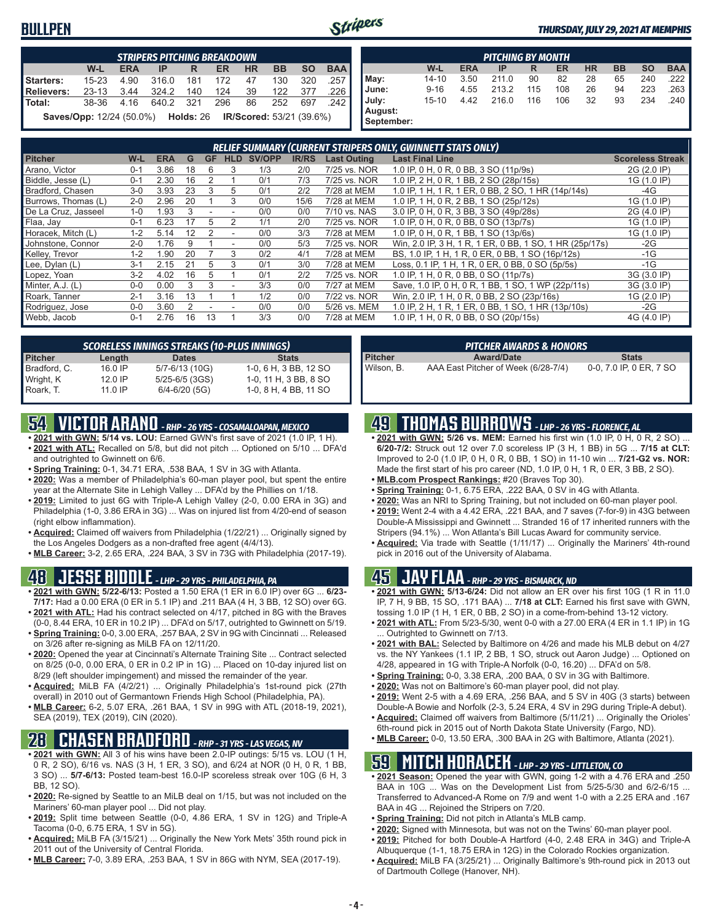#### **BULLPEN**



#### *THURSDAY, JULY 29, 2021 AT MEMPHIS*

|            | <b>STRIPERS PITCHING BREAKDOWN</b>                                        |            |           |     |     |           |           |           |            |  |
|------------|---------------------------------------------------------------------------|------------|-----------|-----|-----|-----------|-----------|-----------|------------|--|
|            | W-L                                                                       | <b>ERA</b> | IP        | R   | ER. | <b>HR</b> | <b>BB</b> | <b>SO</b> | <b>BAA</b> |  |
| Starters:  | $15 - 23$                                                                 | 4.90       | 316.0     | 181 | 172 | 47        | 130       | 320       | .257       |  |
| Relievers: | $23 - 13$                                                                 | 3.44       | 324.2     | 140 | 124 | 39        | 122       | - 377     | .226       |  |
| Total:     | 38-36 4.16                                                                |            | 640.2 321 |     | 296 | 86        | 252       | 697       | 242        |  |
|            | <b>Saves/Opp:</b> 12/24 (50.0%) <b>Holds: 26 IR/Scored: 53/21 (39.6%)</b> |            |           |     |     |           |           |           |            |  |

| <b>PITCHING BY MONTH</b> |           |            |       |     |     |           |           |           |            |
|--------------------------|-----------|------------|-------|-----|-----|-----------|-----------|-----------|------------|
|                          | W-L       | <b>ERA</b> | IP    | R   | ER  | <b>HR</b> | <b>BB</b> | <b>SO</b> | <b>BAA</b> |
| May:                     | $14 - 10$ | 3.50       | 211.0 | 90  | 82  | 28        | 65        | 240       | 222        |
| June:                    | $9 - 16$  | 4.55       | 213.2 | 115 | 108 | 26        | 94        | 223       | .263       |
| July:                    | $15 - 10$ | 4.42       | 216.0 | 116 | 106 | 32        | 93        | 234       | .240       |
| August:<br>September:    |           |            |       |     |     |           |           |           |            |

| <b>RELIEF SUMMARY (CURRENT STRIPERS ONLY, GWINNETT STATS ONLY)</b> |         |            |    |             |            |        |              |                    |                                                         |                         |
|--------------------------------------------------------------------|---------|------------|----|-------------|------------|--------|--------------|--------------------|---------------------------------------------------------|-------------------------|
| <b>Pitcher</b>                                                     | W-L     | <b>ERA</b> | G  | <b>GF</b>   | <b>HLD</b> | SV/OPP | <b>IR/RS</b> | <b>Last Outing</b> | <b>Last Final Line</b>                                  | <b>Scoreless Streak</b> |
| Arano, Victor                                                      | $0 - 1$ | 3.86       | 18 | 6           | 3          | 1/3    | 2/0          | 7/25 vs. NOR       | 1.0 IP, 0 H, 0 R, 0 BB, 3 SO (11p/9s)                   | 2G (2.0 IP)             |
| Biddle, Jesse (L)                                                  | $0 - 1$ | 2.30       | 16 |             |            | 0/1    | 7/3          | 7/25 vs. NOR       | 1.0 IP, 2 H, 0 R, 1 BB, 2 SO (28p/15s)                  | 1G (1.0 IP)             |
| Bradford, Chasen                                                   | $3-0$   | 3.93       | 23 | 3           | 5          | 0/1    | 2/2          | 7/28 at MEM        | 1.0 IP, 1 H, 1 R, 1 ER, 0 BB, 2 SO, 1 HR (14p/14s)      | -4G                     |
| Burrows, Thomas (L)                                                | $2 - 0$ | 2.96       | 20 |             | 3          | 0/0    | 15/6         | 7/28 at MEM        | 1.0 IP, 1 H, 0 R, 2 BB, 1 SO (25p/12s)                  | 1G (1.0 IP)             |
| De La Cruz, Jasseel                                                | $1 - 0$ | .93        |    |             |            | 0/0    | 0/0          | 7/10 vs. NAS       | 3.0 IP, 0 H, 0 R, 3 BB, 3 SO (49p/28s)                  | 2G (4.0 IP)             |
| Flaa, Jay                                                          | $0 - 1$ | 6.23       |    | $\mathbf b$ |            | 1/1    | 2/0          | 7/25 vs. NOR       | 1.0 IP, 0 H, 0 R, 0 BB, 0 SO (13p/7s)                   | 1G (1.0 IP)             |
| Horacek. Mitch (L)                                                 | $1 - 2$ | 5.14       | 12 |             |            | 0/0    | 3/3          | 7/28 at MEM        | 1.0 IP, 0 H, 0 R, 1 BB, 1 SO (13p/6s)                   | 1G (1.0 IP)             |
| Johnstone, Connor                                                  | $2 - 0$ | 1.76       | 9  |             |            | 0/0    | 5/3          | 7/25 vs. NOR       | Win, 2.0 IP, 3 H, 1 R, 1 ER, 0 BB, 1 SO, 1 HR (25p/17s) | $-2G$                   |
| Kelley, Trevor                                                     | $1 - 2$ | .90        | 20 |             | 3          | 0/2    | 4/1          | 7/28 at MEM        | BS, 1.0 IP, 1 H, 1 R, 0 ER, 0 BB, 1 SO (16p/12s)        | $-1G$                   |
| Lee, Dylan (L)                                                     | $3 - 1$ | 2.15       | 21 | 5           | 3          | 0/1    | 3/0          | 7/28 at MEM        | Loss, 0.1 IP, 1 H, 1 R, 0 ER, 0 BB, 0 SO (5p/5s)        | $-1G$                   |
| Lopez, Yoan                                                        | $3 - 2$ | 4.02       | 16 | 5           |            | 0/1    | 2/2          | 7/25 vs. NOR       | 1.0 IP, 1 H, 0 R, 0 BB, 0 SO (11p/7s)                   | 3G (3.0 IP)             |
| Minter, A.J. (L)                                                   | 0-0     | 0.00       | 3  | 3           |            | 3/3    | 0/0          | 7/27 at MEM        | Save, 1.0 IP, 0 H, 0 R, 1 BB, 1 SO, 1 WP (22p/11s)      | 3G (3.0 IP)             |
| Roark, Tanner                                                      | $2 - 1$ | 3.16       | 13 |             |            | 1/2    | 0/0          | 7/22 vs. NOR       | Win, 2.0 IP, 1 H, 0 R, 0 BB, 2 SO (23p/16s)             | 1G (2.0 IP)             |
| Rodriguez, Jose                                                    | $0 - 0$ | 3.60       |    |             |            | 0/0    | 0/0          | 5/26 vs. MEM       | 1.0 IP, 2 H, 1 R, 1 ER, 0 BB, 1 SO, 1 HR (13p/10s)      | -2G                     |
| Webb, Jacob                                                        | $0 - 1$ | 2.76       | 16 | 13          |            | 3/3    | 0/0          | 7/28 at MEM        | 1.0 IP, 1 H, 0 R, 0 BB, 0 SO (20p/15s)                  | 4G (4.0 IP)             |

| <b>SCORELESS INNINGS STREAKS (10-PLUS INNINGS)</b> |           |                    |                       |  |  |  |  |  |
|----------------------------------------------------|-----------|--------------------|-----------------------|--|--|--|--|--|
| <b>Pitcher</b>                                     | Length    | <b>Dates</b>       | <b>Stats</b>          |  |  |  |  |  |
| Bradford, C.                                       | $16.0$ IP | 5/7-6/13 (10G)     | 1-0, 6 H, 3 BB, 12 SO |  |  |  |  |  |
| Wright, K                                          | $12.0$ IP | $5/25 - 6/5$ (3GS) | 1-0, 11 H, 3 BB, 8 SO |  |  |  |  |  |
| Roark, T.                                          | $11.0$ IP | $6/4 - 6/20$ (5G)  | 1-0, 8 H, 4 BB, 11 SO |  |  |  |  |  |

### **54 VICTOR ARANO** *- RHP - 26 YRS - COSAMALOAPAN, MEXICO*

- **• 2021 with GWN: 5/14 vs. LOU:** Earned GWN's first save of 2021 (1.0 IP, 1 H). **• 2021 with ATL:** Recalled on 5/8, but did not pitch ... Optioned on 5/10 ... DFA'd and outrighted to Gwinnett on 6/6.
- **• Spring Training:** 0-1, 34.71 ERA, .538 BAA, 1 SV in 3G with Atlanta.
- **• 2020:** Was a member of Philadelphia's 60-man player pool, but spent the entire year at the Alternate Site in Lehigh Valley ... DFA'd by the Phillies on 1/18.
- **• 2019:** Limited to just 6G with Triple-A Lehigh Valley (2-0, 0.00 ERA in 3G) and Philadelphia (1-0, 3.86 ERA in 3G) ... Was on injured list from 4/20-end of season (right elbow inflammation).
- **• Acquired:** Claimed off waivers from Philadelphia (1/22/21) ... Originally signed by the Los Angeles Dodgers as a non-drafted free agent (4/4/13).
- **• MLB Career:** 3-2, 2.65 ERA, .224 BAA, 3 SV in 73G with Philadelphia (2017-19).

#### **48 JESSE BIDDLE** *- LHP - 29 YRS - PHILADELPHIA, PA*

- **• 2021 with GWN: 5/22-6/13:** Posted a 1.50 ERA (1 ER in 6.0 IP) over 6G ... **6/23- 7/17:** Had a 0.00 ERA (0 ER in 5.1 IP) and .211 BAA (4 H, 3 BB, 12 SO) over 6G. **• 2021 with ATL:** Had his contract selected on 4/17, pitched in 8G with the Braves
- (0-0, 8.44 ERA, 10 ER in 10.2 IP) ... DFA'd on 5/17, outrighted to Gwinnett on 5/19. **• Spring Training:** 0-0, 3.00 ERA, .257 BAA, 2 SV in 9G with Cincinnati ... Released
- on 3/26 after re-signing as MiLB FA on 12/11/20. **• 2020:** Opened the year at Cincinnati's Alternate Training Site ... Contract selected on 8/25 (0-0, 0.00 ERA, 0 ER in 0.2 IP in 1G) ... Placed on 10-day injured list on
- 8/29 (left shoulder impingement) and missed the remainder of the year. **• Acquired:** MiLB FA (4/2/21) ... Originally Philadelphia's 1st-round pick (27th
- overall) in 2010 out of Germantown Friends High School (Philadelphia, PA). **• MLB Career:** 6-2, 5.07 ERA, .261 BAA, 1 SV in 99G with ATL (2018-19, 2021), SEA (2019), TEX (2019), CIN (2020).

#### **28 CHASEN BRADFORD** *- RHP - 31 YRS - LAS VEGAS, NV*

- **• 2021 with GWN:** All 3 of his wins have been 2.0-IP outings: 5/15 vs. LOU (1 H, 0 R, 2 SO), 6/16 vs. NAS (3 H, 1 ER, 3 SO), and 6/24 at NOR (0 H, 0 R, 1 BB, 3 SO) ... **5/7-6/13:** Posted team-best 16.0-IP scoreless streak over 10G (6 H, 3 BB, 12 SO).
- **• 2020:** Re-signed by Seattle to an MiLB deal on 1/15, but was not included on the Mariners' 60-man player pool ... Did not play.
- **• 2019:** Split time between Seattle (0-0, 4.86 ERA, 1 SV in 12G) and Triple-A Tacoma (0-0, 6.75 ERA, 1 SV in 5G).
- **• Acquired:** MiLB FA (3/15/21) ... Originally the New York Mets' 35th round pick in 2011 out of the University of Central Florida.
- **• MLB Career:** 7-0, 3.89 ERA, .253 BAA, 1 SV in 86G with NYM, SEA (2017-19).

| <b>PITCHER AWARDS &amp; HONORS</b> |                                     |                         |  |  |  |  |  |
|------------------------------------|-------------------------------------|-------------------------|--|--|--|--|--|
| <b>Pitcher</b>                     | <b>Award/Date</b>                   | <b>Stats</b>            |  |  |  |  |  |
| Wilson, B.                         | AAA East Pitcher of Week (6/28-7/4) | 0-0, 7.0 IP, 0 ER, 7 SO |  |  |  |  |  |

#### **49 THOMAS BURROWS** *- LHP - 26 YRS - FLORENCE, AL*

- **• 2021 with GWN: 5/26 vs. MEM:** Earned his first win (1.0 IP, 0 H, 0 R, 2 SO) ... **6/20-7/2:** Struck out 12 over 7.0 scoreless IP (3 H, 1 BB) in 5G ... **7/15 at CLT:** Improved to 2-0 (1.0 IP, 0 H, 0 R, 0 BB, 1 SO) in 11-10 win ... **7/21-G2 vs. NOR:** Made the first start of his pro career (ND, 1.0 IP, 0 H, 1 R, 0 ER, 3 BB, 2 SO).
- **• MLB.com Prospect Rankings:** #20 (Braves Top 30).
- **• Spring Training:** 0-1, 6.75 ERA, .222 BAA, 0 SV in 4G with Atlanta.
- **• 2020:** Was an NRI to Spring Training, but not included on 60-man player pool.
- **• 2019:** Went 2-4 with a 4.42 ERA, .221 BAA, and 7 saves (7-for-9) in 43G between Double-A Mississippi and Gwinnett ... Stranded 16 of 17 inherited runners with the Stripers (94.1%) ... Won Atlanta's Bill Lucas Award for community service.
- **• Acquired:** Via trade with Seattle (1/11/17) ... Originally the Mariners' 4th-round pick in 2016 out of the University of Alabama.

#### **45 JAY FLAA** *- RHP - 29 YRS - BISMARCK, ND*

- **• 2021 with GWN: 5/13-6/24:** Did not allow an ER over his first 10G (1 R in 11.0 IP, 7 H, 9 BB, 15 SO, .171 BAA) ... **7/18 at CLT:** Earned his first save with GWN, tossing 1.0 IP (1 H, 1 ER, 0 BB, 2 SO) in a come-from-behind 13-12 victory.
- **• 2021 with ATL:** From 5/23-5/30, went 0-0 with a 27.00 ERA (4 ER in 1.1 IP) in 1G Outrighted to Gwinnett on 7/13.
- **• 2021 with BAL:** Selected by Baltimore on 4/26 and made his MLB debut on 4/27 vs. the NY Yankees (1.1 IP, 2 BB, 1 SO, struck out Aaron Judge) ... Optioned on 4/28, appeared in 1G with Triple-A Norfolk (0-0, 16.20) ... DFA'd on 5/8.
- **• Spring Training:** 0-0, 3.38 ERA, .200 BAA, 0 SV in 3G with Baltimore.
- **• 2020:** Was not on Baltimore's 60-man player pool, did not play.
- **• 2019:** Went 2-5 with a 4.69 ERA, .256 BAA, and 5 SV in 40G (3 starts) between Double-A Bowie and Norfolk (2-3, 5.24 ERA, 4 SV in 29G during Triple-A debut).
- **• Acquired:** Claimed off waivers from Baltimore (5/11/21) ... Originally the Orioles' 6th-round pick in 2015 out of North Dakota State University (Fargo, ND).
- **• MLB Career:** 0-0, 13.50 ERA, .300 BAA in 2G with Baltimore, Atlanta (2021).

### **59 MITCH HORACEK** *- LHP - 29 YRS - LITTLETON, CO*

- **• 2021 Season:** Opened the year with GWN, going 1-2 with a 4.76 ERA and .250 BAA in 10G ... Was on the Development List from 5/25-5/30 and 6/2-6/15 ... Transferred to Advanced-A Rome on 7/9 and went 1-0 with a 2.25 ERA and .167 BAA in 4G ... Rejoined the Stripers on 7/20.
- **• Spring Training:** Did not pitch in Atlanta's MLB camp.
- **• 2020:** Signed with Minnesota, but was not on the Twins' 60-man player pool.
- **• 2019:** Pitched for both Double-A Hartford (4-0, 2.48 ERA in 34G) and Triple-A
- Albuquerque (1-1, 18.75 ERA in 12G) in the Colorado Rockies organization. **• Acquired:** MiLB FA (3/25/21) ... Originally Baltimore's 9th-round pick in 2013 out of Dartmouth College (Hanover, NH).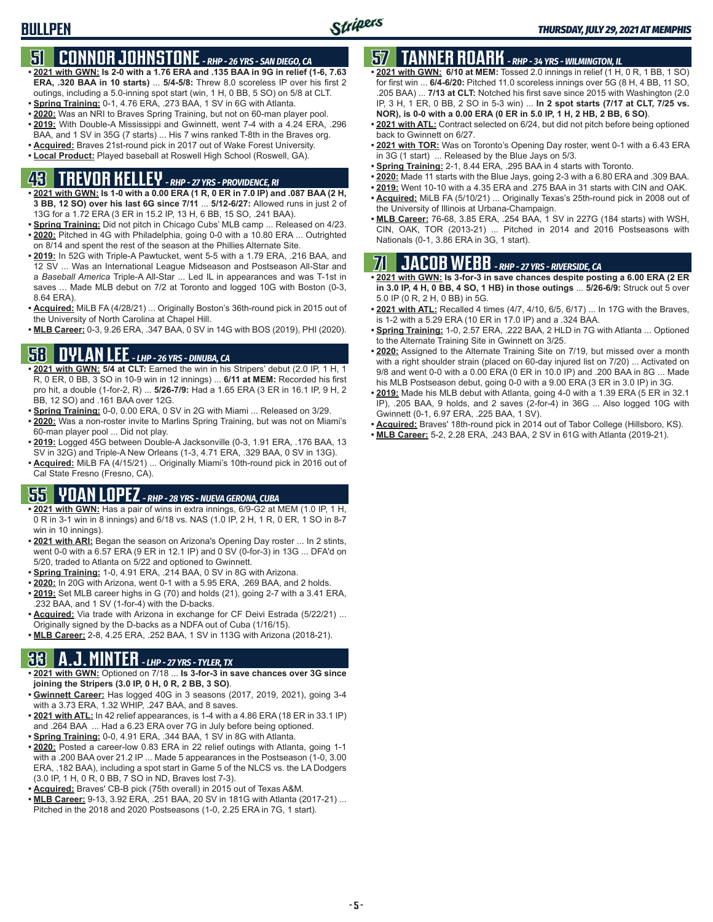### **51 CONNOR JOHNSTONE** *- RHP - 26 YRS - SAN DIEGO, CA*

- **• 2021 with GWN: Is 2-0 with a 1.76 ERA and .135 BAA in 9G in relief (1-6, 7.63 ERA, .320 BAA in 10 starts)** ... **5/4-5/8:** Threw 8.0 scoreless IP over his first 2 outings, including a 5.0-inning spot start (win, 1 H, 0 BB, 5 SO) on 5/8 at CLT.
- **• Spring Training:** 0-1, 4.76 ERA, .273 BAA, 1 SV in 6G with Atlanta.
- **• 2020:** Was an NRI to Braves Spring Training, but not on 60-man player pool. **• 2019:** With Double-A Mississippi and Gwinnett, went 7-4 with a 4.24 ERA, .296
- BAA, and 1 SV in 35G (7 starts) ... His 7 wins ranked T-8th in the Braves org. **• Acquired:** Braves 21st-round pick in 2017 out of Wake Forest University.
- **• Local Product:** Played baseball at Roswell High School (Roswell, GA).

### **43 TREVOR KELLEY** *- RHP - 27 YRS - PROVIDENCE, RI*

- **• 2021 with GWN: Is 1-0 with a 0.00 ERA (1 R, 0 ER in 7.0 IP) and .087 BAA (2 H, 3 BB, 12 SO) over his last 6G since 7/11** ... **5/12-6/27:** Allowed runs in just 2 of 13G for a 1.72 ERA (3 ER in 15.2 IP, 13 H, 6 BB, 15 SO, .241 BAA).
- **• Spring Training:** Did not pitch in Chicago Cubs' MLB camp ... Released on 4/23. **• 2020:** Pitched in 4G with Philadelphia, going 0-0 with a 10.80 ERA ... Outrighted on 8/14 and spent the rest of the season at the Phillies Alternate Site.
- **• 2019:** In 52G with Triple-A Pawtucket, went 5-5 with a 1.79 ERA, .216 BAA, and 12 SV ... Was an International League Midseason and Postseason All-Star and a *Baseball America* Triple-A All-Star ... Led IL in appearances and was T-1st in saves ... Made MLB debut on 7/2 at Toronto and logged 10G with Boston (0-3, 8.64 ERA).
- **• Acquired:** MiLB FA (4/28/21) ... Originally Boston's 36th-round pick in 2015 out of the University of North Carolina at Chapel Hill.
- **• MLB Career:** 0-3, 9.26 ERA, .347 BAA, 0 SV in 14G with BOS (2019), PHI (2020).

### **58 DYLAN LEE** *- LHP - 26 YRS - DINUBA, CA*

- **• 2021 with GWN: 5/4 at CLT:** Earned the win in his Stripers' debut (2.0 IP, 1 H, 1 R, 0 ER, 0 BB, 3 SO in 10-9 win in 12 innings) ... **6/11 at MEM:** Recorded his first pro hit, a double (1-for-2, R) ... **5/26-7/9:** Had a 1.65 ERA (3 ER in 16.1 IP, 9 H, 2 BB, 12 SO) and .161 BAA over 12G.
- **• Spring Training:** 0-0, 0.00 ERA, 0 SV in 2G with Miami ... Released on 3/29.
- **• 2020:** Was a non-roster invite to Marlins Spring Training, but was not on Miami's 60-man player pool ... Did not play.
- **• 2019:** Logged 45G between Double-A Jacksonville (0-3, 1.91 ERA, .176 BAA, 13 SV in 32G) and Triple-A New Orleans (1-3, 4.71 ERA, .329 BAA, 0 SV in 13G).
- **• Acquired:** MiLB FA (4/15/21) ... Originally Miami's 10th-round pick in 2016 out of Cal State Fresno (Fresno, CA).

#### **55 YOAN LOPEZ** *- RHP - 28 YRS - NUEVA GERONA, CUBA*

- **• 2021 with GWN:** Has a pair of wins in extra innings, 6/9-G2 at MEM (1.0 IP, 1 H, 0 R in 3-1 win in 8 innings) and 6/18 vs. NAS (1.0 IP, 2 H, 1 R, 0 ER, 1 SO in 8-7 win in 10 innings).
- **• 2021 with ARI:** Began the season on Arizona's Opening Day roster ... In 2 stints, went 0-0 with a 6.57 ERA (9 ER in 12.1 IP) and 0 SV (0-for-3) in 13G ... DFA'd on 5/20, traded to Atlanta on 5/22 and optioned to Gwinnett.
- **• Spring Training:** 1-0, 4.91 ERA, .214 BAA, 0 SV in 8G with Arizona.
- **• 2020:** In 20G with Arizona, went 0-1 with a 5.95 ERA, .269 BAA, and 2 holds.
- **• 2019:** Set MLB career highs in G (70) and holds (21), going 2-7 with a 3.41 ERA, .232 BAA, and 1 SV (1-for-4) with the D-backs.
- **• Acquired:** Via trade with Arizona in exchange for CF Deivi Estrada (5/22/21) ... Originally signed by the D-backs as a NDFA out of Cuba (1/16/15).
- **• MLB Career:** 2-8, 4.25 ERA, .252 BAA, 1 SV in 113G with Arizona (2018-21).

#### **33 A.J. MINTER** *- LHP - 27 YRS - TYLER, TX*

- **• 2021 with GWN:** Optioned on 7/18 ... **Is 3-for-3 in save chances over 3G since joining the Stripers (3.0 IP, 0 H, 0 R, 2 BB, 3 SO)**.
- **• Gwinnett Career:** Has logged 40G in 3 seasons (2017, 2019, 2021), going 3-4 with a 3.73 ERA, 1.32 WHIP, .247 BAA, and 8 saves.
- **• 2021 with ATL:** In 42 relief appearances, is 1-4 with a 4.86 ERA (18 ER in 33.1 IP) and .264 BAA ... Had a 6.23 ERA over 7G in July before being optioned.
- **• Spring Training:** 0-0, 4.91 ERA, .344 BAA, 1 SV in 8G with Atlanta.
- **• 2020:** Posted a career-low 0.83 ERA in 22 relief outings with Atlanta, going 1-1 with a .200 BAA over 21.2 IP ... Made 5 appearances in the Postseason (1-0, 3.00 ERA, .182 BAA), including a spot start in Game 5 of the NLCS vs. the LA Dodgers (3.0 IP, 1 H, 0 R, 0 BB, 7 SO in ND, Braves lost 7-3).
- **• Acquired:** Braves' CB-B pick (75th overall) in 2015 out of Texas A&M.
- **• MLB Career:** 9-13, 3.92 ERA, .251 BAA, 20 SV in 181G with Atlanta (2017-21) ... Pitched in the 2018 and 2020 Postseasons (1-0, 2.25 ERA in 7G, 1 start).

### **57 TANNER ROARK** *- RHP - 34 YRS - WILMINGTON, IL*

- **• 2021 with GWN: 6/10 at MEM:** Tossed 2.0 innings in relief (1 H, 0 R, 1 BB, 1 SO) for first win ... **6/4-6/20:** Pitched 11.0 scoreless innings over 5G (8 H, 4 BB, 11 SO, .205 BAA) ... **7/13 at CLT:** Notched his first save since 2015 with Washington (2.0 IP, 3 H, 1 ER, 0 BB, 2 SO in 5-3 win) ... **In 2 spot starts (7/17 at CLT, 7/25 vs. NOR), is 0-0 with a 0.00 ERA (0 ER in 5.0 IP, 1 H, 2 HB, 2 BB, 6 SO)**.
- **• 2021 with ATL:** Contract selected on 6/24, but did not pitch before being optioned back to Gwinnett on 6/27.
- **• 2021 with TOR:** Was on Toronto's Opening Day roster, went 0-1 with a 6.43 ERA in 3G (1 start) ... Released by the Blue Jays on 5/3.
- **• Spring Training:** 2-1, 8.44 ERA, .295 BAA in 4 starts with Toronto.
- **• 2020:** Made 11 starts with the Blue Jays, going 2-3 with a 6.80 ERA and .309 BAA.
- **• 2019:** Went 10-10 with a 4.35 ERA and .275 BAA in 31 starts with CIN and OAK.
- **• Acquired:** MiLB FA (5/10/21) ... Originally Texas's 25th-round pick in 2008 out of the University of Illinois at Urbana-Champaign.
- **• MLB Career:** 76-68, 3.85 ERA, .254 BAA, 1 SV in 227G (184 starts) with WSH, CIN, OAK, TOR (2013-21) ... Pitched in 2014 and 2016 Postseasons with Nationals (0-1, 3.86 ERA in 3G, 1 start).

#### **71 JACOB WEBB** *- RHP - 27 YRS - RIVERSIDE, CA*

- **• 2021 with GWN: Is 3-for-3 in save chances despite posting a 6.00 ERA (2 ER in 3.0 IP, 4 H, 0 BB, 4 SO, 1 HB) in those outings** ... **5/26-6/9:** Struck out 5 over 5.0 IP (0 R, 2 H, 0 BB) in 5G.
- **• 2021 with ATL:** Recalled 4 times (4/7, 4/10, 6/5, 6/17) ... In 17G with the Braves, is 1-2 with a 5.29 ERA (10 ER in 17.0 IP) and a .324 BAA.
- **• Spring Training:** 1-0, 2.57 ERA, .222 BAA, 2 HLD in 7G with Atlanta ... Optioned to the Alternate Training Site in Gwinnett on 3/25.
- **• 2020:** Assigned to the Alternate Training Site on 7/19, but missed over a month with a right shoulder strain (placed on 60-day injured list on 7/20) ... Activated on 9/8 and went 0-0 with a 0.00 ERA (0 ER in 10.0 IP) and .200 BAA in 8G ... Made his MLB Postseason debut, going 0-0 with a 9.00 ERA (3 ER in 3.0 IP) in 3G.
- **• 2019:** Made his MLB debut with Atlanta, going 4-0 with a 1.39 ERA (5 ER in 32.1 IP), .205 BAA, 9 holds, and 2 saves (2-for-4) in 36G ... Also logged 10G with Gwinnett (0-1, 6.97 ERA, .225 BAA, 1 SV).
- **• Acquired:** Braves' 18th-round pick in 2014 out of Tabor College (Hillsboro, KS).
- **• MLB Career:** 5-2, 2.28 ERA, .243 BAA, 2 SV in 61G with Atlanta (2019-21).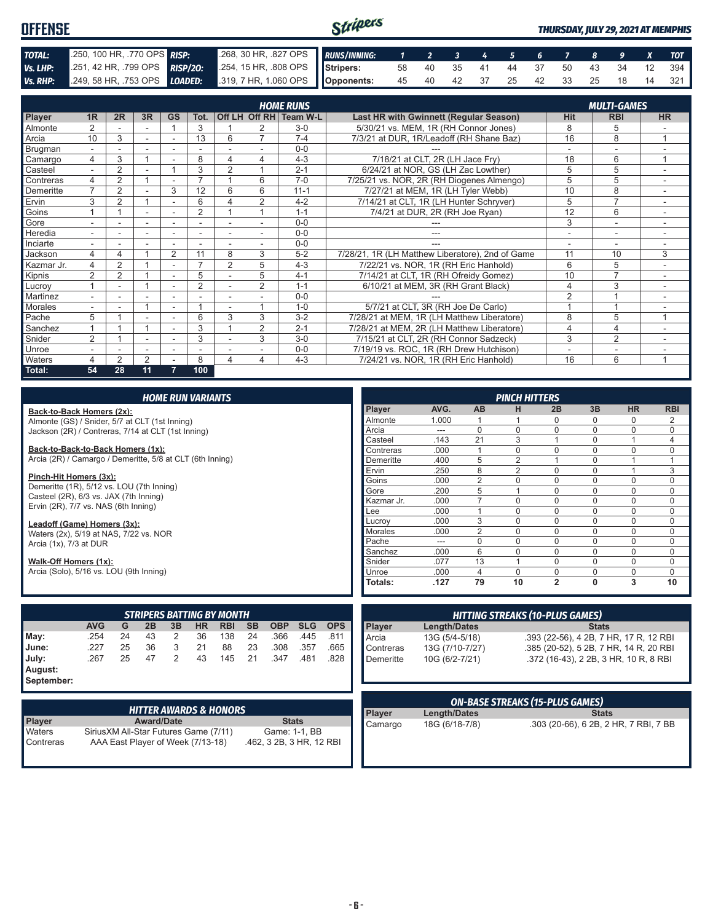#### Stripers **OFFENSE** *THURSDAY, JULY 29, 2021 AT MEMPHIS TOTAL:* .250, 100 HR, .770 OPS *RISP:* .268, 30 HR, .827 OPS *RUNS/INNING: 1 2 3 4 5 6 7 8 9 X TOT Vs. LHP:* .251, 42 HR, .799 OPS *RISP/2O:* .254, 15 HR, .808 OPS **Stripers:** 58 40 35 41 44 37 50 43 34 12 394 *Vs. RHP:* .249, 58 HR, .753 OPS *LOADED:* .319, 7 HR, 1.060 OPS **Opponents:** 45 40 42 37 25 42 33 25 18 14 321

|                | <b>HOME RUNS</b><br><b>MULTI-GAMES</b> |                |                          |                          |                  |                |                |                        |                                                  |                |                |           |
|----------------|----------------------------------------|----------------|--------------------------|--------------------------|------------------|----------------|----------------|------------------------|--------------------------------------------------|----------------|----------------|-----------|
| <b>Player</b>  | 1 <sub>R</sub>                         | 2R             | 3R                       | <b>GS</b>                | Tot.             |                |                | Off LH Off RH Team W-L | <b>Last HR with Gwinnett (Regular Season)</b>    | Hit            | <b>RBI</b>     | <b>HR</b> |
| <b>Almonte</b> |                                        |                |                          |                          | 3                |                |                | $3-0$                  | 5/30/21 vs. MEM, 1R (RH Connor Jones)            | 8              | 5              |           |
| Arcia          | 10                                     | 3              |                          |                          | 13               | 6              | 7              | $7 - 4$                | 7/3/21 at DUR, 1R/Leadoff (RH Shane Baz)         | 16             | 8              |           |
| Brugman        |                                        |                |                          |                          |                  |                |                | $0 - 0$                |                                                  |                | -              |           |
| Camargo        | 4                                      | 3              |                          |                          | 8                | 4              | 4              | $4 - 3$                | 7/18/21 at CLT, 2R (LH Jace Fry)                 | 18             | 6              |           |
| Casteel        | $\overline{a}$                         | $\overline{2}$ |                          |                          | 3                | $\overline{2}$ |                | $2 - 1$                | 6/24/21 at NOR, GS (LH Zac Lowther)              | 5              | 5              |           |
| Contreras      |                                        | $\overline{2}$ |                          |                          | ⇁                |                | 6              | $7-0$                  | 7/25/21 vs. NOR, 2R (RH Diogenes Almengo)        | 5              | 5              |           |
| Demeritte      | $\overline{ }$                         | $\overline{2}$ |                          | 3                        | 12               | 6              | 6              | $11 - 1$               | 7/27/21 at MEM, 1R (LH Tyler Webb)               | 10             | 8              |           |
| Ervin          | 3                                      | 2              |                          | $\overline{\phantom{0}}$ | 6                | Δ              | 2              | $4 - 2$                | 7/14/21 at CLT, 1R (LH Hunter Schryver)          | 5              | $\overline{7}$ |           |
| Goins          |                                        |                |                          |                          | $\overline{2}$   |                |                | $1 - 1$                | 7/4/21 at DUR, 2R (RH Joe Ryan)                  | 12             | 6              |           |
| Gore           | ۰                                      |                | ۰                        | ۰                        | ۰                |                |                | $0 - 0$                |                                                  | 3              | ۰              | ٠         |
| Heredia        |                                        |                |                          |                          |                  |                |                | $0 - 0$                | ---                                              |                |                |           |
| Inciarte       |                                        |                |                          |                          |                  |                |                | $0 - 0$                |                                                  |                |                |           |
| Jackson        | 4                                      | 4              |                          | 2                        | 11               | 8              | 3              | $5 - 2$                | 7/28/21, 1R (LH Matthew Liberatore), 2nd of Game | 11             | 10             | 3         |
| Kazmar Jr.     | 4                                      | 2              |                          | ٠                        | ⇁                | $\overline{2}$ | 5              | $4 - 3$                | 7/22/21 vs. NOR, 1R (RH Eric Hanhold)            | 6              | 5              |           |
| Kipnis         | 2                                      | 2              |                          | ٠                        | 5                |                | 5              | $4 - 1$                | 7/14/21 at CLT, 1R (RH Ofreidy Gomez)            | 10             | $\overline{7}$ |           |
| Lucroy         |                                        |                |                          |                          | $\overline{2}$   |                | $\overline{2}$ | $1 - 1$                | 6/10/21 at MEM, 3R (RH Grant Black)              | $\overline{4}$ | 3              |           |
| Martinez       |                                        |                |                          |                          | ٠                |                |                | $0 - 0$                |                                                  | $\overline{2}$ |                |           |
| Morales        |                                        |                |                          |                          |                  |                |                | $1 - 0$                | 5/7/21 at CLT, 3R (RH Joe De Carlo)              |                |                |           |
| Pache          | 5                                      |                |                          | ۰                        | 6                | 3              | 3              | $3 - 2$                | 7/28/21 at MEM, 1R (LH Matthew Liberatore)       | 8              | 5              |           |
| Sanchez        |                                        |                |                          |                          | 3                |                | $\overline{2}$ | $2 - 1$                | 7/28/21 at MEM, 2R (LH Matthew Liberatore)       | $\overline{4}$ | 4              |           |
| Snider         | 2                                      |                | $\overline{\phantom{a}}$ | ٠                        | 3                |                | 3              | $3-0$                  | 7/15/21 at CLT, 2R (RH Connor Sadzeck)           | 3              | $\overline{2}$ |           |
| <b>Unroe</b>   |                                        |                |                          |                          |                  |                |                | $0 - 0$                | 7/19/19 vs. ROC, 1R (RH Drew Hutchison)          |                |                |           |
| Waters         | 4                                      | 2              | $\overline{2}$           | $\overline{\phantom{a}}$ | 8                | 4              | 4              | $4 - 3$                | 7/24/21 vs. NOR, 1R (RH Eric Hanhold)            | 16             | 6              | 1         |
| Total:         | 54                                     | 28             | 11                       | 7                        | 100 <sub>1</sub> |                |                |                        |                                                  |                |                |           |

| <b>HOME RUN VARIANTS</b>                      |  |
|-----------------------------------------------|--|
| Back-to-Back Homers (2x):                     |  |
| Almonte (GS) / Snider 5/7 at CLT (1st Inning) |  |

Almonte (GS) / Snider, 5/7 at CLT (1st Inning) Jackson (2R) / Contreras, 7/14 at CLT (1st Inning)

**Back-to-Back-to-Back Homers (1x):** Arcia (2R) / Camargo / Demeritte, 5/8 at CLT (6th Inning)

**Pinch-Hit Homers (3x):** Demeritte (1R), 5/12 vs. LOU (7th Inning) Casteel (2R), 6/3 vs. JAX (7th Inning) Ervin (2R), 7/7 vs. NAS (6th Inning)

**Leadoff (Game) Homers (3x):** Waters (2x), 5/19 at NAS, 7/22 vs. NOR Arcia  $(1x)$ ,  $7/3$  at DUR

**Walk-Off Homers (1x):** Arcia (Solo), 5/16 vs. LOU (9th Inning)

| <b>STRIPERS BATTING BY MONTH</b> |            |    |    |    |           |            |    |            |            |            |
|----------------------------------|------------|----|----|----|-----------|------------|----|------------|------------|------------|
|                                  | <b>AVG</b> | G  | 2B | 3B | <b>HR</b> | <b>RBI</b> | SB | <b>OBP</b> | <b>SLG</b> | <b>OPS</b> |
| May:                             | .254       | 24 | 43 | 2  | 36        | 138        | 24 | .366       | .445       | .811       |
| June:                            | .227       | 25 | 36 | 3  | 21        | 88         | 23 | .308       | .357       | .665       |
| July:                            | .267       | 25 | 47 | 2  | 43        | 145        | 21 | .347       | .481       | .828       |
| August:<br>Contambor             |            |    |    |    |           |            |    |            |            |            |

**September:**

| 'HITTER AWARDS & HONORS |                                        |                          |  |  |  |  |  |
|-------------------------|----------------------------------------|--------------------------|--|--|--|--|--|
| <b>Player</b>           | <b>Award/Date</b>                      | <b>Stats</b>             |  |  |  |  |  |
| <b>Naters</b>           | Sirius XM All-Star Futures Game (7/11) | Game: 1-1, BB            |  |  |  |  |  |
| <b>Contreras</b>        | AAA East Player of Week (7/13-18)      | .462, 3 2B, 3 HR, 12 RBI |  |  |  |  |  |

|                | <b>PINCH HITTERS</b> |                |                |                |          |             |             |  |  |
|----------------|----------------------|----------------|----------------|----------------|----------|-------------|-------------|--|--|
| <b>Player</b>  | AVG.                 | AB             | н              | 2B             | 3B       | <b>HR</b>   | <b>RBI</b>  |  |  |
| Almonte        | 1.000                |                |                | 0              | 0        | 0           | 2           |  |  |
| Arcia          | ---                  | $\Omega$       | $\Omega$       | $\Omega$       | 0        | $\Omega$    | $\Omega$    |  |  |
| Casteel        | .143                 | 21             | 3              | 1              | 0        | 1           | 4           |  |  |
| Contreras      | .000                 |                | $\Omega$       | $\Omega$       | 0        | $\Omega$    | 0           |  |  |
| Demeritte      | .400                 | 5              | $\overline{2}$ | 1              | 0        | 1           | 1           |  |  |
| Ervin          | .250                 | 8              | $\overline{2}$ | $\Omega$       | $\Omega$ | 1           | 3           |  |  |
| Goins          | .000                 | $\overline{2}$ | $\mathbf 0$    | $\mathbf 0$    | $\Omega$ | $\Omega$    | $\mathbf 0$ |  |  |
| Gore           | .200                 | 5              | 1              | $\Omega$       | 0        | $\Omega$    | $\Omega$    |  |  |
| Kazmar Jr.     | .000                 |                | $\mathbf 0$    | $\mathbf 0$    | 0        | $\mathbf 0$ | $\mathbf 0$ |  |  |
| Lee            | .000                 | 1              | $\mathbf 0$    | $\mathbf 0$    | $\Omega$ | $\Omega$    | $\mathbf 0$ |  |  |
| Lucroy         | .000                 | 3              | $\Omega$       | $\Omega$       | 0        | $\Omega$    | $\Omega$    |  |  |
| <b>Morales</b> | .000                 | $\overline{2}$ | $\Omega$       | $\mathbf 0$    | ი        | $\Omega$    | $\Omega$    |  |  |
| Pache          | ---                  | $\Omega$       | $\Omega$       | $\mathbf 0$    | 0        | $\Omega$    | $\mathbf 0$ |  |  |
| Sanchez        | .000                 | 6              | $\Omega$       | $\mathbf 0$    | $\Omega$ | $\Omega$    | $\Omega$    |  |  |
| Snider         | .077                 | 13             | 1              | $\Omega$       | $\Omega$ | $\Omega$    | $\Omega$    |  |  |
| Unroe          | .000                 | $\overline{4}$ | $\Omega$       | $\Omega$       | 0        | $\Omega$    | $\Omega$    |  |  |
| Totals:        | .127                 | 79             | 10             | $\overline{2}$ | $\bf{0}$ | 3           | 10          |  |  |

|  |                                               | <b>HITTING STREAKS (10-PLUS GAMES)</b> |                                        |  |  |  |  |  |  |  |  |  |
|--|-----------------------------------------------|----------------------------------------|----------------------------------------|--|--|--|--|--|--|--|--|--|
|  | Length/Dates<br><b>Stats</b><br><b>Player</b> |                                        |                                        |  |  |  |  |  |  |  |  |  |
|  | <b>Arcia</b>                                  | 13G (5/4-5/18)                         | .393 (22-56), 4 2B, 7 HR, 17 R, 12 RBI |  |  |  |  |  |  |  |  |  |
|  | Contreras                                     | 13G (7/10-7/27)                        | .385 (20-52), 5 2B, 7 HR, 14 R, 20 RBI |  |  |  |  |  |  |  |  |  |
|  | <b>Demeritte</b>                              | 10G (6/2-7/21)                         | .372 (16-43), 2 2B, 3 HR, 10 R, 8 RBI  |  |  |  |  |  |  |  |  |  |
|  |                                               |                                        |                                        |  |  |  |  |  |  |  |  |  |
|  |                                               |                                        |                                        |  |  |  |  |  |  |  |  |  |
|  |                                               |                                        |                                        |  |  |  |  |  |  |  |  |  |

|            |                        | <b>ON-BASE STREAKS (15-PLUS GAMES)</b> |                                       |  |  |  |  |  |  |  |  |  |
|------------|------------------------|----------------------------------------|---------------------------------------|--|--|--|--|--|--|--|--|--|
|            | Player                 | Length/Dates                           | <b>Stats</b>                          |  |  |  |  |  |  |  |  |  |
|            | $\blacksquare$ Camargo | 18G (6/18-7/8)                         | .303 (20-66), 6 2B, 2 HR, 7 RBI, 7 BB |  |  |  |  |  |  |  |  |  |
| <b>DDL</b> |                        |                                        |                                       |  |  |  |  |  |  |  |  |  |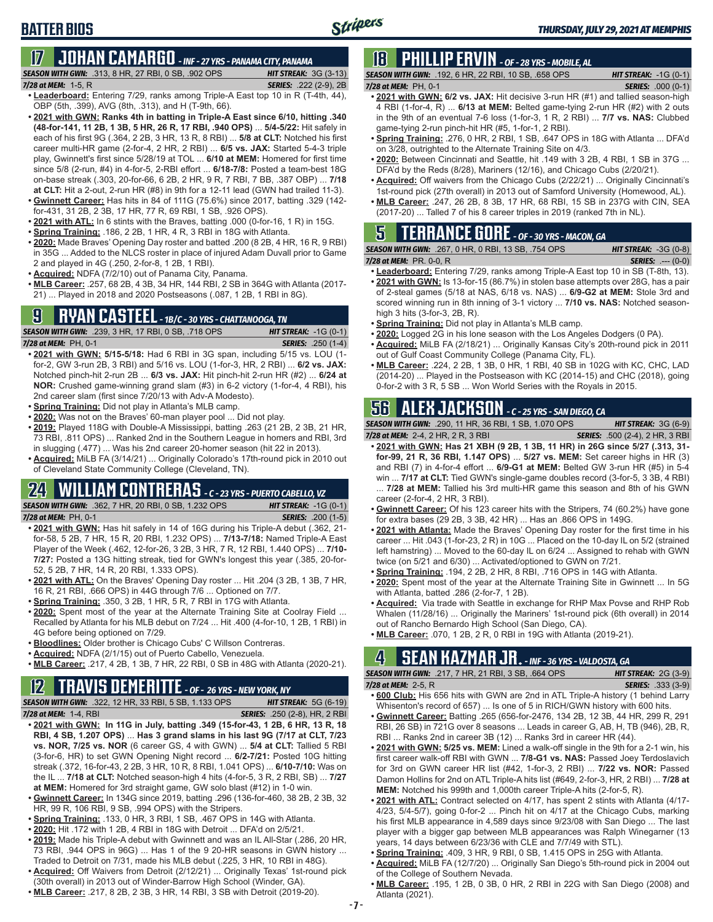# **BATTER BIOS**

**17 JOHAN CAMARGO** *- INF - 27 YRS - PANAMA CITY, PANAMA SEASON WITH GWN:*.313, 8 HR, 27 RBI, 0 SB, .902 OPS *HIT STREAK:* 3G (3-13)

- *7/28 at MEM:* 1-5, R *SERIES:* .222 (2-9), 2B **• Leaderboard:** Entering 7/29, ranks among Triple-A East top 10 in R (T-4th, 44), OBP (5th, .399), AVG (8th, .313), and H (T-9th, 66).
- **• 2021 with GWN: Ranks 4th in batting in Triple-A East since 6/10, hitting .340 (48-for-141, 11 2B, 1 3B, 5 HR, 26 R, 17 RBI, .940 OPS)** ... **5/4-5/22:** Hit safely in each of his first 9G (.364, 2 2B, 3 HR, 13 R, 8 RBI) ... **5/8 at CLT:** Notched his first career multi-HR game (2-for-4, 2 HR, 2 RBI) ... **6/5 vs. JAX:** Started 5-4-3 triple play, Gwinnett's first since 5/28/19 at TOL ... **6/10 at MEM:** Homered for first time since 5/8 (2-run, #4) in 4-for-5, 2-RBI effort ... **6/18-7/8:** Posted a team-best 18G on-base streak (.303, 20-for-66, 6 2B, 2 HR, 9 R, 7 RBI, 7 BB, .387 OBP) ... **7/18 at CLT:** Hit a 2-out, 2-run HR (#8) in 9th for a 12-11 lead (GWN had trailed 11-3).
- **• Gwinnett Career:** Has hits in 84 of 111G (75.6%) since 2017, batting .329 (142 for-431, 31 2B, 2 3B, 17 HR, 77 R, 69 RBI, 1 SB, .926 OPS).
- **• 2021 with ATL:** In 6 stints with the Braves, batting .000 (0-for-16, 1 R) in 15G.
- **• Spring Training:** .186, 2 2B, 1 HR, 4 R, 3 RBI in 18G with Atlanta.
- **• 2020:** Made Braves' Opening Day roster and batted .200 (8 2B, 4 HR, 16 R, 9 RBI) in 35G ... Added to the NLCS roster in place of injured Adam Duvall prior to Game 2 and played in 4G (.250, 2-for-8, 1 2B, 1 RBI).
- **• Acquired:** NDFA (7/2/10) out of Panama City, Panama.
- **• MLB Career:** .257, 68 2B, 4 3B, 34 HR, 144 RBI, 2 SB in 364G with Atlanta (2017- 21) ... Played in 2018 and 2020 Postseasons (.087, 1 2B, 1 RBI in 8G).

#### **9 RYAN CASTEEL** *- 1B/C - 30 YRS - CHATTANOOGA, TN*

*SEASON WITH GWN:*.239, 3 HR, 17 RBI, 0 SB, .718 OPS *HIT STREAK:* -1G (0-1) *7/28 at MEM:*PH, 0-1 *SERIES:* .250 (1-4)

- **• 2021 with GWN: 5/15-5/18:** Had 6 RBI in 3G span, including 5/15 vs. LOU (1 for-2, GW 3-run 2B, 3 RBI) and 5/16 vs. LOU (1-for-3, HR, 2 RBI) ... **6/2 vs. JAX:** Notched pinch-hit 2-run 2B ... **6/3 vs. JAX:** Hit pinch-hit 2-run HR (#2) ... **6/24 at NOR:** Crushed game-winning grand slam (#3) in 6-2 victory (1-for-4, 4 RBI), his 2nd career slam (first since 7/20/13 with Adv-A Modesto).
- **• Spring Training:** Did not play in Atlanta's MLB camp.
- **• 2020:** Was not on the Braves' 60-man player pool ... Did not play.
- **• 2019:** Played 118G with Double-A Mississippi, batting .263 (21 2B, 2 3B, 21 HR, 73 RBI, .811 OPS) ... Ranked 2nd in the Southern League in homers and RBI, 3rd in slugging (.477) ... Was his 2nd career 20-homer season (hit 22 in 2013).

**• Acquired:** MiLB FA (3/14/21) ... Originally Colorado's 17th-round pick in 2010 out of Cleveland State Community College (Cleveland, TN).

### **24 WILLIAM CONTRERAS** *- C - 23 YRS - PUERTO CABELLO, VZ*

*SEASON WITH GWN:*.362, 7 HR, 20 RBI, 0 SB, 1.232 OPS *HIT STREAK:* -1G (0-1) *7/28 at MEM:* PH, 0-1 *SERIES:* .200 (1-5)

- **• 2021 with GWN:** Has hit safely in 14 of 16G during his Triple-A debut (.362, 21 for-58, 5 2B, 7 HR, 15 R, 20 RBI, 1.232 OPS) ... **7/13-7/18:** Named Triple-A East Player of the Week (.462, 12-for-26, 3 2B, 3 HR, 7 R, 12 RBI, 1.440 OPS) ... **7/10- 7/27:** Posted a 13G hitting streak, tied for GWN's longest this year (.385, 20-for-52, 5 2B, 7 HR, 14 R, 20 RBI, 1.333 OPS).
- **• 2021 with ATL:** On the Braves' Opening Day roster ... Hit .204 (3 2B, 1 3B, 7 HR, 16 R, 21 RBI, .666 OPS) in 44G through 7/6 ... Optioned on 7/7.
- **• Spring Training:** .350, 3 2B, 1 HR, 5 R, 7 RBI in 17G with Atlanta.
- **• 2020:** Spent most of the year at the Alternate Training Site at Coolray Field ... Recalled by Atlanta for his MLB debut on 7/24 ... Hit .400 (4-for-10, 1 2B, 1 RBI) in 4G before being optioned on 7/29.
- **• Bloodlines:** Older brother is Chicago Cubs' C Willson Contreras.
- **• Acquired:** NDFA (2/1/15) out of Puerto Cabello, Venezuela.
- **• MLB Career:** .217, 4 2B, 1 3B, 7 HR, 22 RBI, 0 SB in 48G with Atlanta (2020-21).

#### **12 TRAVIS DEMERITTE** *- OF - 26 YRS - NEW YORK, NY*

*SEASON WITH GWN:*.322, 12 HR, 33 RBI, 5 SB, 1.133 OPS *HIT STREAK:* 5G (6-19) *7/28 at MEM:*1-4, RBI *SERIES:* .250 (2-8), HR, 2 RBI

- **• 2021 with GWN: In 11G in July, batting .349 (15-for-43, 1 2B, 6 HR, 13 R, 18 RBI, 4 SB, 1.207 OPS)** ... **Has 3 grand slams in his last 9G (7/17 at CLT, 7/23 vs. NOR, 7/25 vs. NOR** (6 career GS, 4 with GWN) ... **5/4 at CLT:** Tallied 5 RBI (3-for-6, HR) to set GWN Opening Night record ... **6/2-7/21:** Posted 10G hitting streak (.372, 16-for-43, 2 2B, 3 HR, 10 R, 8 RBI, 1.041 OPS) ... **6/10-7/10:** Was on the IL ... **7/18 at CLT:** Notched season-high 4 hits (4-for-5, 3 R, 2 RBI, SB) ... **7/27 at MEM:** Homered for 3rd straight game, GW solo blast (#12) in 1-0 win.
- **• Gwinnett Career:** In 134G since 2019, batting .296 (136-for-460, 38 2B, 2 3B, 32 HR, 99 R, 106 RBI, 9 SB, .994 OPS) with the Stripers.
- **• Spring Training:** .133, 0 HR, 3 RBI, 1 SB, .467 OPS in 14G with Atlanta.
- **• 2020:** Hit .172 with 1 2B, 4 RBI in 18G with Detroit ... DFA'd on 2/5/21.
- **• 2019:** Made his Triple-A debut with Gwinnett and was an IL All-Star (.286, 20 HR, 73 RBI, .944 OPS in 96G) ... Has 1 of the 9 20-HR seasons in GWN history ... Traded to Detroit on 7/31, made his MLB debut (.225, 3 HR, 10 RBI in 48G).
- **• Acquired:** Off Waivers from Detroit (2/12/21) ... Originally Texas' 1st-round pick (30th overall) in 2013 out of Winder-Barrow High School (Winder, GA).
- **• MLB Career:** .217, 8 2B, 2 3B, 3 HR, 14 RBI, 3 SB with Detroit (2019-20).

### **18 PHILLIP ERVIN** *- OF - 28 YRS - MOBILE, AL*

*SEASON WITH GWN:*.192, 6 HR, 22 RBI, 10 SB, .658 OPS *HIT STREAK:* -1G (0-1) *7/28 at MEM:*PH, 0-1 *SERIES:* .000 (0-1)

- **• 2021 with GWN: 6/2 vs. JAX:** Hit decisive 3-run HR (#1) and tallied season-high 4 RBI (1-for-4, R) ... **6/13 at MEM:** Belted game-tying 2-run HR (#2) with 2 outs in the 9th of an eventual 7-6 loss (1-for-3, 1 R, 2 RBI) ... **7/7 vs. NAS:** Clubbed game-tying 2-run pinch-hit HR (#5, 1-for-1, 2 RBI).
- **• Spring Training:** .276, 0 HR, 2 RBI, 1 SB, .647 OPS in 18G with Atlanta ... DFA'd on 3/28, outrighted to the Alternate Training Site on 4/3.
- **• 2020:** Between Cincinnati and Seattle, hit .149 with 3 2B, 4 RBI, 1 SB in 37G ... DFA'd by the Reds (8/28), Mariners (12/16), and Chicago Cubs (2/20/21).
- **• Acquired:** Off waivers from the Chicago Cubs (2/22/21) ... Originally Cincinnati's 1st-round pick (27th overall) in 2013 out of Samford University (Homewood, AL).
- **• MLB Career:** .247, 26 2B, 8 3B, 17 HR, 68 RBI, 15 SB in 237G with CIN, SEA (2017-20) ... Talled 7 of his 8 career triples in 2019 (ranked 7th in NL).

### **5 TERRANCE GORE** *- OF - 30 YRS - MACON, GA*

| <b>SEASON WITH GWN:</b> .267, 0 HR, 0 RBI, 13 SB, .754 OPS | <b>HIT STREAK: <math>-3G(0-8)</math></b> |
|------------------------------------------------------------|------------------------------------------|
| 7/28 at MEM: PR. 0-0, R                                    | <b>SERIES:</b> $--- (0-0)$               |

- **• Leaderboard:** Entering 7/29, ranks among Triple-A East top 10 in SB (T-8th, 13).
- **• 2021 with GWN:** Is 13-for-15 (86.7%) in stolen base attempts over 28G, has a pair of 2-steal games (5/18 at NAS, 6/18 vs. NAS) ... **6/9-G2 at MEM:** Stole 3rd and scored winning run in 8th inning of 3-1 victory ... **7/10 vs. NAS:** Notched seasonhigh 3 hits (3-for-3, 2B, R).
- **• Spring Training:** Did not play in Atlanta's MLB camp.
- **• 2020:** Logged 2G in his lone season with the Los Angeles Dodgers (0 PA).
- **• Acquired:** MiLB FA (2/18/21) ... Originally Kansas City's 20th-round pick in 2011 out of Gulf Coast Community College (Panama City, FL).
- **• MLB Career:** .224, 2 2B, 1 3B, 0 HR, 1 RBI, 40 SB in 102G with KC, CHC, LAD (2014-20) ... Played in the Postseason with KC (2014-15) and CHC (2018), going 0-for-2 with 3 R, 5 SB ... Won World Series with the Royals in 2015.

### **56 ALEX JACKSON** *- C - 25 YRS - SAN DIEGO, CA*

*SEASON WITH GWN:*.290, 11 HR, 36 RBI, 1 SB, 1.070 OPS *HIT STREAK:* 3G (6-9)

- *7/28 at MEM:*2-4, 2 HR, 2 R, 3 RBI *SERIES:* .500 (2-4), 2 HR, 3 RBI **• 2021 with GWN: Has 21 XBH (9 2B, 1 3B, 11 HR) in 26G since 5/27 (.313, 31 for-99, 21 R, 36 RBI, 1.147 OPS)** ... **5/27 vs. MEM:** Set career highs in HR (3) and RBI (7) in 4-for-4 effort ... **6/9-G1 at MEM:** Belted GW 3-run HR (#5) in 5-4 win ... **7/17 at CLT:** Tied GWN's single-game doubles record (3-for-5, 3 3B, 4 RBI) ... **7/28 at MEM:** Tallied his 3rd multi-HR game this season and 8th of his GWN career (2-for-4, 2 HR, 3 RBI).
- **• Gwinnett Career:** Of his 123 career hits with the Stripers, 74 (60.2%) have gone for extra bases (29 2B, 3 3B, 42 HR) ... Has an .866 OPS in 149G.
- **• 2021 with Atlanta:** Made the Braves' Opening Day roster for the first time in his career ... Hit .043 (1-for-23, 2 R) in 10G ... Placed on the 10-day IL on 5/2 (strained left hamstring) ... Moved to the 60-day IL on 6/24 ... Assigned to rehab with GWN twice (on 5/21 and 6/30) ... Activated/optioned to GWN on 7/21.
- **• Spring Training:** .194, 2 2B, 2 HR, 8 RBI, .716 OPS in 14G with Atlanta.
- **• 2020:** Spent most of the year at the Alternate Training Site in Gwinnett ... In 5G with Atlanta, batted .286 (2-for-7, 1 2B).
- **• Acquired:** Via trade with Seattle in exchange for RHP Max Povse and RHP Rob Whalen (11/28/16) ... Originally the Mariners' 1st-round pick (6th overall) in 2014 out of Rancho Bernardo High School (San Diego, CA).
- **• MLB Career:** .070, 1 2B, 2 R, 0 RBI in 19G with Atlanta (2019-21).

#### **4 SEAN KAZMAR JR.** *- INF - 36 YRS - VALDOSTA, GA*

| <b>SEASON WITH GWN:</b> .217, 7 HR, 21 RBI, 3 SB, .664 OPS | <b>HIT STREAK:</b> $2G(3-9)$ |
|------------------------------------------------------------|------------------------------|
| 7/28 at MEM: 2-5, R                                        | <b>SERIES:</b> .333 (3-9)    |
|                                                            |                              |

- **• 600 Club:** His 656 hits with GWN are 2nd in ATL Triple-A history (1 behind Larry Whisenton's record of 657) ... Is one of 5 in RICH/GWN history with 600 hits.
- **• Gwinnett Career:** Batting .265 (656-for-2476, 134 2B, 12 3B, 44 HR, 299 R, 291 RBI, 26 SB) in 721G over 8 seasons ... Leads in career G, AB, H, TB (946), 2B, R, RBI ... Ranks 2nd in career 3B (12) ... Ranks 3rd in career HR (44).
- **• 2021 with GWN: 5/25 vs. MEM:** Lined a walk-off single in the 9th for a 2-1 win, his first career walk-off RBI with GWN ... **7/8-G1 vs. NAS:** Passed Joey Terdoslavich for 3rd on GWN career HR list (#42, 1-for-3, 2 RBI) ... **7/22 vs. NOR:** Passed Damon Hollins for 2nd on ATL Triple-A hits list (#649, 2-for-3, HR, 2 RBI) ... **7/28 at MEM:** Notched his 999th and 1,000th career Triple-A hits (2-for-5, R).
- **• 2021 with ATL:** Contract selected on 4/17, has spent 2 stints with Atlanta (4/17- 4/23, 5/4-5/7), going 0-for-2 ... Pinch hit on 4/17 at the Chicago Cubs, marking his first MLB appearance in 4,589 days since 9/23/08 with San Diego ... The last player with a bigger gap between MLB appearances was Ralph Winegarner (13 years, 14 days between 6/23/36 with CLE and 7/7/49 with STL).
- **• Spring Training:** .409, 3 HR, 9 RBI, 0 SB, 1.415 OPS in 25G with Atlanta.
- **• Acquired:** MiLB FA (12/7/20) ... Originally San Diego's 5th-round pick in 2004 out of the College of Southern Nevada.
- **• MLB Career:** .195, 1 2B, 0 3B, 0 HR, 2 RBI in 22G with San Diego (2008) and Atlanta (2021).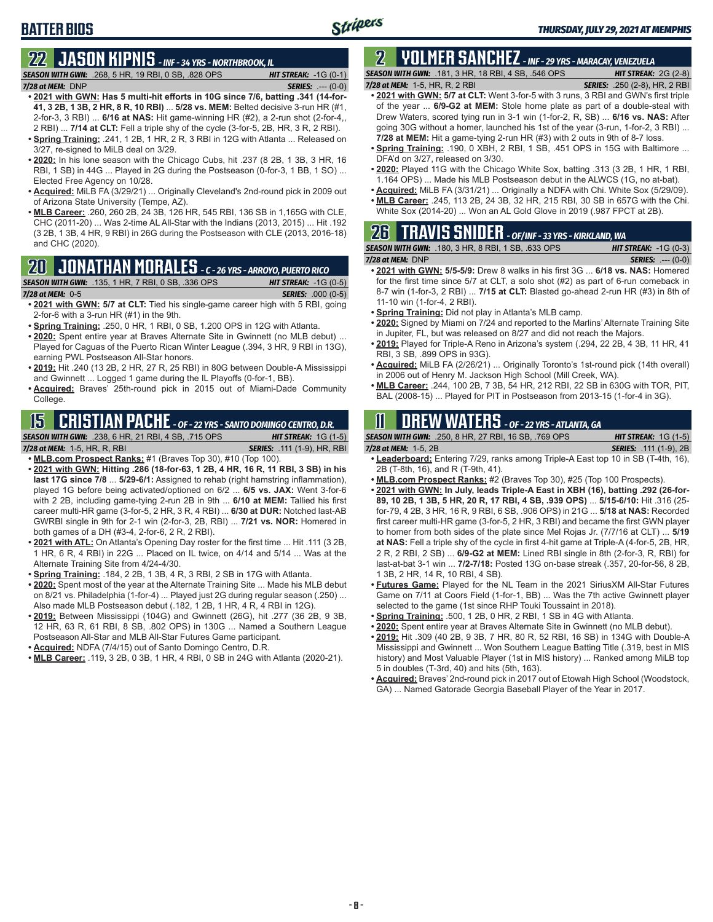### **BATTER BIOS**

### **22 JASON KIPNIS** *- INF - 34 YRS - NORTHBROOK, IL*

*SEASON WITH GWN:*.268, 5 HR, 19 RBI, 0 SB, .828 OPS *HIT STREAK:* -1G (0-1) *7/28 at MEM:*DNP *SERIES:* .--- (0-0)

- **• 2021 with GWN: Has 5 multi-hit efforts in 10G since 7/6, batting .341 (14-for-41, 3 2B, 1 3B, 2 HR, 8 R, 10 RBI)** ... **5/28 vs. MEM:** Belted decisive 3-run HR (#1, 2-for-3, 3 RBI) ... **6/16 at NAS:** Hit game-winning HR (#2), a 2-run shot (2-for-4,, 2 RBI) ... **7/14 at CLT:** Fell a triple shy of the cycle (3-for-5, 2B, HR, 3 R, 2 RBI).
- **• Spring Training:** .241, 1 2B, 1 HR, 2 R, 3 RBI in 12G with Atlanta ... Released on 3/27, re-signed to MiLB deal on 3/29.
- **• 2020:** In his lone season with the Chicago Cubs, hit .237 (8 2B, 1 3B, 3 HR, 16 RBI, 1 SB) in 44G ... Played in 2G during the Postseason (0-for-3, 1 BB, 1 SO) ... Elected Free Agency on 10/28.
- **• Acquired:** MiLB FA (3/29/21) ... Originally Cleveland's 2nd-round pick in 2009 out of Arizona State University (Tempe, AZ).
- **• MLB Career:** .260, 260 2B, 24 3B, 126 HR, 545 RBI, 136 SB in 1,165G with CLE, CHC (2011-20) ... Was 2-time AL All-Star with the Indians (2013, 2015) ... Hit .192 (3 2B, 1 3B, 4 HR, 9 RBI) in 26G during the Postseason with CLE (2013, 2016-18) and CHC (2020).

#### **20 JONATHAN MORALES** *- C - 26 YRS - ARROYO, PUERTO RICO*

#### *SEASON WITH GWN:*.135, 1 HR, 7 RBI, 0 SB, .336 OPS *HIT STREAK:* -1G (0-5)

*7/28 at MEM:*0-5 *SERIES:* .000 (0-5)

- **• 2021 with GWN: 5/7 at CLT:** Tied his single-game career high with 5 RBI, going 2-for-6 with a 3-run HR (#1) in the 9th.
- **• Spring Training:** .250, 0 HR, 1 RBI, 0 SB, 1.200 OPS in 12G with Atlanta.
- **• 2020:** Spent entire year at Braves Alternate Site in Gwinnett (no MLB debut) ... Played for Caguas of the Puerto Rican Winter League (.394, 3 HR, 9 RBI in 13G), earning PWL Postseason All-Star honors.
- **• 2019:** Hit .240 (13 2B, 2 HR, 27 R, 25 RBI) in 80G between Double-A Mississippi and Gwinnett ... Logged 1 game during the IL Playoffs (0-for-1, BB).
- **• Acquired:** Braves' 25th-round pick in 2015 out of Miami-Dade Community College.

### **15 CRISTIAN PACHE** *- OF - 22 YRS - SANTO DOMINGO CENTRO, D.R.*

*SEASON WITH GWN:*.238, 6 HR, 21 RBI, 4 SB, .715 OPS *HIT STREAK:* 1G (1-5)

*7/28 at MEM:* 1-5, HR, R, RBI *SERIES:* .111 (1-9), HR, RBI

- **• MLB.com Prospect Ranks:** #1 (Braves Top 30), #10 (Top 100). **• 2021 with GWN: Hitting .286 (18-for-63, 1 2B, 4 HR, 16 R, 11 RBI, 3 SB) in his last 17G since 7/8** ... **5/29-6/1:** Assigned to rehab (right hamstring inflammation), played 1G before being activated/optioned on 6/2 ... **6/5 vs. JAX:** Went 3-for-6 with 2 2B, including game-tying 2-run 2B in 9th ... **6/10 at MEM:** Tallied his first career multi-HR game (3-for-5, 2 HR, 3 R, 4 RBI) ... **6/30 at DUR:** Notched last-AB GWRBI single in 9th for 2-1 win (2-for-3, 2B, RBI) ... **7/21 vs. NOR:** Homered in both games of a DH (#3-4, 2-for-6, 2 R, 2 RBI).
- **• 2021 with ATL:** On Atlanta's Opening Day roster for the first time ... Hit .111 (3 2B, 1 HR, 6 R, 4 RBI) in 22G ... Placed on IL twice, on 4/14 and 5/14 ... Was at the Alternate Training Site from 4/24-4/30.
- **• Spring Training:** .184, 2 2B, 1 3B, 4 R, 3 RBI, 2 SB in 17G with Atlanta.
- **• 2020:** Spent most of the year at the Alternate Training Site ... Made his MLB debut on 8/21 vs. Philadelphia (1-for-4) ... Played just 2G during regular season (.250) ... Also made MLB Postseason debut (.182, 1 2B, 1 HR, 4 R, 4 RBI in 12G).
- **• 2019:** Between Mississippi (104G) and Gwinnett (26G), hit .277 (36 2B, 9 3B, 12 HR, 63 R, 61 RBI, 8 SB, .802 OPS) in 130G ... Named a Southern League Postseason All-Star and MLB All-Star Futures Game participant.
- **• Acquired:** NDFA (7/4/15) out of Santo Domingo Centro, D.R.
- **• MLB Career:** .119, 3 2B, 0 3B, 1 HR, 4 RBI, 0 SB in 24G with Atlanta (2020-21).

### **2 YOLMER SANCHEZ** *- INF - 29 YRS - MARACAY, VENEZUELA*

*SEASON WITH GWN:*.181, 3 HR, 18 RBI, 4 SB, .546 OPS *HIT STREAK:* 2G (2-8)

- *7/28 at MEM:*1-5, HR, R, 2 RBI *SERIES:* .250 (2-8), HR, 2 RBI **• 2021 with GWN: 5/7 at CLT:** Went 3-for-5 with 3 runs, 3 RBI and GWN's first triple of the year ... **6/9-G2 at MEM:** Stole home plate as part of a double-steal with Drew Waters, scored tying run in 3-1 win (1-for-2, R, SB) ... **6/16 vs. NAS:** After going 30G without a homer, launched his 1st of the year (3-run, 1-for-2, 3 RBI) ... **7/28 at MEM:** Hit a game-tying 2-run HR (#3) with 2 outs in 9th of 8-7 loss.
- **• Spring Training:** .190, 0 XBH, 2 RBI, 1 SB, .451 OPS in 15G with Baltimore ... DFA'd on 3/27, released on 3/30.
- **• 2020:** Played 11G with the Chicago White Sox, batting .313 (3 2B, 1 HR, 1 RBI, 1.164 OPS) ... Made his MLB Postseason debut in the ALWCS (1G, no at-bat).
- **• Acquired:** MiLB FA (3/31/21) ... Originally a NDFA with Chi. White Sox (5/29/09). **• MLB Career:** .245, 113 2B, 24 3B, 32 HR, 215 RBI, 30 SB in 657G with the Chi.
- White Sox (2014-20) ... Won an AL Gold Glove in 2019 (.987 FPCT at 2B).

### **26 TRAVIS SNIDER** *- OF/INF - 33 YRS - KIRKLAND, WA*

|                      | <b>SEASON WITH GWN: .180, 3 HR, 8 RBI, 1 SB, .633 OPS</b> | <b>HIT STREAK:</b> $-1G(0-3)$ |
|----------------------|-----------------------------------------------------------|-------------------------------|
| $7/28$ at MEM: $DNP$ |                                                           | <b>SERIES:</b> $--- (0-0)$    |

- **• 2021 with GWN: 5/5-5/9:** Drew 8 walks in his first 3G ... **6/18 vs. NAS:** Homered for the first time since 5/7 at CLT, a solo shot (#2) as part of 6-run comeback in 8-7 win (1-for-3, 2 RBI) ... **7/15 at CLT:** Blasted go-ahead 2-run HR (#3) in 8th of 11-10 win (1-for-4, 2 RBI).
- **• Spring Training:** Did not play in Atlanta's MLB camp.
- **• 2020:** Signed by Miami on 7/24 and reported to the Marlins' Alternate Training Site in Jupiter, FL, but was released on 8/27 and did not reach the Majors.
- **• 2019:** Played for Triple-A Reno in Arizona's system (.294, 22 2B, 4 3B, 11 HR, 41 RBI, 3 SB, .899 OPS in 93G).
- **• Acquired:** MiLB FA (2/26/21) ... Originally Toronto's 1st-round pick (14th overall) in 2006 out of Henry M. Jackson High School (Mill Creek, WA).
- **• MLB Career:** .244, 100 2B, 7 3B, 54 HR, 212 RBI, 22 SB in 630G with TOR, PIT, BAL (2008-15) ... Played for PIT in Postseason from 2013-15 (1-for-4 in 3G).

#### **11 Drew WATERS** *- OF - 22 YRS - ATLANTA, GA*

*SEASON WITH GWN:*.250, 8 HR, 27 RBI, 16 SB, .769 OPS *HIT STREAK:* 1G (1-5)

| JLAJVIN MIIII VMN. 1200. U III \. 21 I \DI. I U OD. .I UJ OI O                    | $1113$ JINLAN, $10110$        |
|-----------------------------------------------------------------------------------|-------------------------------|
| 7/28 at MEM: 1-5. 2B                                                              | <b>SERIES:</b> .111 (1-9), 2B |
| • Leaderboard: Entering 7/29, ranks among Triple-A East top 10 in SB (T-4th, 16), |                               |

- **• Leaderboard:** Entering 7/29, ranks among Triple-A East top 10 in SB (T-4th, 16), 2B (T-8th, 16), and R (T-9th, 41).
- **• MLB.com Prospect Ranks:** #2 (Braves Top 30), #25 (Top 100 Prospects).
- **• 2021 with GWN: In July, leads Triple-A East in XBH (16), batting .292 (26-for-89, 10 2B, 1 3B, 5 HR, 20 R, 17 RBI, 4 SB, .939 OPS)** ... **5/15-6/10:** Hit .316 (25 for-79, 4 2B, 3 HR, 16 R, 9 RBI, 6 SB, .906 OPS) in 21G ... **5/18 at NAS:** Recorded first career multi-HR game (3-for-5, 2 HR, 3 RBI) and became the first GWN player to homer from both sides of the plate since Mel Rojas Jr. (7/7/16 at CLT) ... **5/19 at NAS:** Fell a triple shy of the cycle in first 4-hit game at Triple-A (4-for-5, 2B, HR, 2 R, 2 RBI, 2 SB) ... **6/9-G2 at MEM:** Lined RBI single in 8th (2-for-3, R, RBI) for last-at-bat 3-1 win ... **7/2-7/18:** Posted 13G on-base streak (.357, 20-for-56, 8 2B, 1 3B, 2 HR, 14 R, 10 RBI, 4 SB).
- **• Futures Game:** Played for the NL Team in the 2021 SiriusXM All-Star Futures Game on 7/11 at Coors Field (1-for-1, BB) ... Was the 7th active Gwinnett player selected to the game (1st since RHP Touki Toussaint in 2018).
- **• Spring Training:** .500, 1 2B, 0 HR, 2 RBI, 1 SB in 4G with Atlanta.
- **• 2020:** Spent entire year at Braves Alternate Site in Gwinnett (no MLB debut).
- **• 2019:** Hit .309 (40 2B, 9 3B, 7 HR, 80 R, 52 RBI, 16 SB) in 134G with Double-A Mississippi and Gwinnett ... Won Southern League Batting Title (.319, best in MIS history) and Most Valuable Player (1st in MIS history) ... Ranked among MiLB top 5 in doubles (T-3rd, 40) and hits (5th, 163).
- **• Acquired:** Braves' 2nd-round pick in 2017 out of Etowah High School (Woodstock, GA) ... Named Gatorade Georgia Baseball Player of the Year in 2017.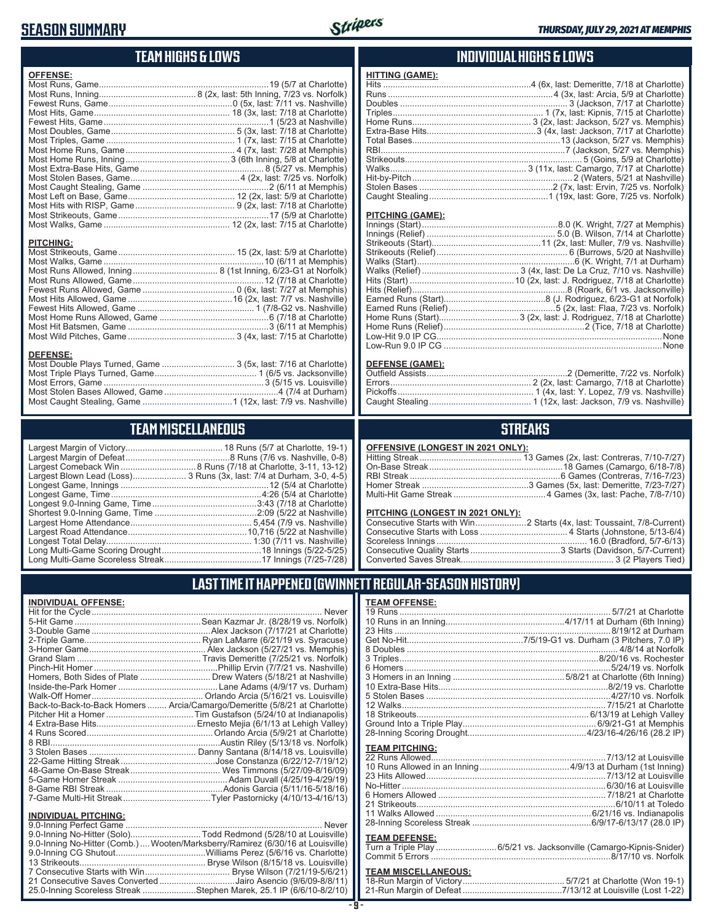#### **SEASON SUMMARY**



#### **TEAM HIGHS & LOWS**

| <b>OFFENSE:</b>  |  |
|------------------|--|
|                  |  |
|                  |  |
|                  |  |
|                  |  |
|                  |  |
|                  |  |
|                  |  |
|                  |  |
|                  |  |
|                  |  |
|                  |  |
|                  |  |
|                  |  |
|                  |  |
|                  |  |
|                  |  |
|                  |  |
| <b>PITCHING:</b> |  |
|                  |  |
|                  |  |
|                  |  |
|                  |  |
|                  |  |

Most Hits Allowed, Game ...........................................16 (2x, last: 7/7 vs. Nashville) Fewest Hits Allowed, Game ................................................ 1 (7/8-G2 vs. Nashville) Most Home Runs Allowed, Game .............................................6 (7/18 at Charlotte) Most Hit Batsmen, Game ..........................................................3 (6/11 at Memphis) Most Wild Pitches, Game ............................................ 3 (4x, last: 7/15 at Charlotte)

Most Double Plays Turned, Game .............................. 3 (5x, last: 7/16 at Charlotte) Most Triple Plays Turned, Game .......................................... 1 (6/5 vs. Jacksonville) Most Errors, Game ..................................................................3 (5/15 vs. Louisville) Most Stolen Bases Allowed, Game ...............................................4 (7/4 at Durham) Most Caught Stealing, Game .....................................1 (12x, last: 7/9 vs. Nashville)

**TEAM MISCELLANEOUS**

#### **INDIVIDUAL HIGHS & LOWS**

| <b>HITTING (GAME):</b> |  |
|------------------------|--|
|                        |  |
|                        |  |
|                        |  |
|                        |  |
|                        |  |
|                        |  |
|                        |  |
|                        |  |
|                        |  |
|                        |  |
|                        |  |
|                        |  |
|                        |  |

#### **PITCHING (GAME):**

#### **DEFENSE (GAME):**

#### **STREAKS**

#### **OFFENSIVE (LONGEST IN 2021 ONLY):**

#### **PITCHING (LONGEST IN 2021 ONLY):**

#### **LAST TIME IT HAPPENED (GWINNETT REGULAR-SEASON HISTORY)**

|                | <b>TEAM OFFENSE:</b>  |                                                          |
|----------------|-----------------------|----------------------------------------------------------|
| эr             |                       |                                                          |
| k)             |                       |                                                          |
| э)             |                       |                                                          |
| э)             |                       |                                                          |
| s)             |                       |                                                          |
| k)             |                       |                                                          |
| э)             |                       |                                                          |
| э)             |                       |                                                          |
| ٦)             |                       |                                                          |
| эÌ             |                       |                                                          |
| э)             |                       | 12 Walks…………………………………………………………………………7/15/21 at Charlotte |
| s)             |                       |                                                          |
| v)             |                       |                                                          |
| э)             |                       |                                                          |
| k)             |                       |                                                          |
| э)             | <b>TEAM PITCHING:</b> |                                                          |
|                |                       |                                                          |
| 2)<br>9)<br>3) |                       |                                                          |
|                |                       |                                                          |
|                |                       |                                                          |
| 3)             |                       |                                                          |
|                |                       |                                                          |
|                |                       |                                                          |
| er             |                       |                                                          |
| э)             | <b>TEAM DEFENSE:</b>  |                                                          |
| э)             |                       |                                                          |
| €,             |                       |                                                          |
|                |                       |                                                          |

### **TEAM MISCELLANEOUS:**

| <u>ILAM MIOULLEAITLOUU.</u> |  |
|-----------------------------|--|
|                             |  |
|                             |  |

|                                  | Largest Blown Lead (Loss) 3 Runs (3x, last: 7/4 at Durham, 3-0, 4-5) |
|----------------------------------|----------------------------------------------------------------------|
|                                  |                                                                      |
|                                  |                                                                      |
|                                  |                                                                      |
|                                  |                                                                      |
|                                  |                                                                      |
|                                  |                                                                      |
|                                  |                                                                      |
|                                  |                                                                      |
| Long Multi-Game Scoreless Streak | 17 Innings (7/25-7/28)                                               |

#### Largest Home Attendance .................................................. 5,454 (7/9 vs. Nashville) Largest Road Attendance .................................................10,716 (5/22 at Nashville) Longest Total Delay............................................................ 1:30 (7/11 vs. Nashville) Long Multi-Game Scoring Drought .........................................18 Innings (5/22-5/25) Long Multi-Game Scoreless Streak ........................................17 Innings (7/25-7/28)

#### **INDIVIDUAL OFFENSE:**

**DEFENSE:**

|                             | Homers, Both Sides of Plate  Drew Waters (5/18/21 at Nashville)            |
|-----------------------------|----------------------------------------------------------------------------|
|                             |                                                                            |
|                             |                                                                            |
|                             | Back-to-Back-to-Back Homers  Arcia/Camargo/Demeritte (5/8/21 at Charlotte) |
|                             |                                                                            |
|                             |                                                                            |
|                             |                                                                            |
|                             |                                                                            |
|                             |                                                                            |
|                             |                                                                            |
|                             |                                                                            |
|                             |                                                                            |
|                             |                                                                            |
|                             |                                                                            |
|                             |                                                                            |
| <b>INDIVIDUAL PITCHING:</b> |                                                                            |

| 1110111007111101111101                                                          |  |
|---------------------------------------------------------------------------------|--|
|                                                                                 |  |
| 9.0-Inning No-Hitter (Solo)Todd Redmond (5/28/10 at Louisville)                 |  |
| 9.0-Inning No-Hitter (Comb.)  Wooten/Marksberry/Ramirez (6/30/16 at Louisville) |  |
|                                                                                 |  |
|                                                                                 |  |
|                                                                                 |  |
| 21 Consecutive Saves Converted Jairo Asencio (9/6/09-8/8/11)                    |  |
| 25.0-Inning Scoreless Streak Stephen Marek, 25.1 IP (6/6/10-8/2/10)             |  |
|                                                                                 |  |